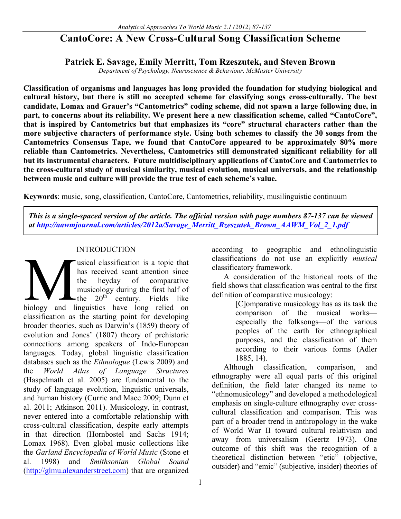# **CantoCore: A New Cross-Cultural Song Classification Scheme**

## **Patrick E. Savage, Emily Merritt, Tom Rzeszutek, and Steven Brown**

*Department of Psychology, Neuroscience & Behaviour, McMaster University*

**Classification of organisms and languages has long provided the foundation for studying biological and cultural history, but there is still no accepted scheme for classifying songs cross-culturally. The best candidate, Lomax and Grauer's "Cantometrics" coding scheme, did not spawn a large following due, in part, to concerns about its reliability. We present here a new classification scheme, called "CantoCore", that is inspired by Cantometrics but that emphasizes its "core" structural characters rather than the more subjective characters of performance style. Using both schemes to classify the 30 songs from the Cantometrics Consensus Tape, we found that CantoCore appeared to be approximately 80% more reliable than Cantometrics. Nevertheless, Cantometrics still demonstrated significant reliability for all but its instrumental characters. Future multidisciplinary applications of CantoCore and Cantometrics to the cross-cultural study of musical similarity, musical evolution, musical universals, and the relationship between music and culture will provide the true test of each scheme's value.**

**Keywords**: music, song, classification, CantoCore, Cantometrics, reliability, musilinguistic continuum

*This is a single-spaced version of the article. The official version with page numbers 87-137 can be viewed at http://aawmjournal.com/articles/2012a/Savage\_Merritt\_Rzeszutek\_Brown\_AAWM\_Vol\_2\_1.pdf*

### **INTRODUCTION**

usical classification is a topic that has received scant attention since the heyday of comparative musicology during the first half of  $-th$  20<sup>th</sup> century. Fields like usical classification is a topic that<br>has received scant attention since<br>the heyday of comparative<br>musicology during the first half of<br>the 20<sup>th</sup> century. Fields like<br>biology and linguistics have long relied on classification as the starting point for developing broader theories, such as Darwin's (1859) theory of evolution and Jones' (1807) theory of prehistoric connections among speakers of Indo-European languages. Today, global linguistic classification databases such as the *Ethnologue* (Lewis 2009) and the *World Atlas of Language Structures* (Haspelmath et al. 2005) are fundamental to the study of language evolution, linguistic universals, and human history (Currie and Mace 2009; Dunn et al. 2011; Atkinson 2011). Musicology, in contrast, never entered into a comfortable relationship with cross-cultural classification, despite early attempts in that direction (Hornbostel and Sachs 1914; Lomax 1968). Even global music collections like the *Garland Encyclopedia of World Music* (Stone et al. 1998) and *Smithsonian Global Sound* (http://glmu.alexanderstreet.com) that are organized

according to geographic and ethnolinguistic classifications do not use an explicitly *musical*  classificatory framework.

A consideration of the historical roots of the field shows that classification was central to the first definition of comparative musicology:

[C]omparative musicology has as its task the comparison of the musical works especially the folksongs—of the various peoples of the earth for ethnographical purposes, and the classification of them according to their various forms (Adler 1885, 14).

Although classification, comparison, and ethnography were all equal parts of this original definition, the field later changed its name to "ethnomusicology" and developed a methodological emphasis on single-culture ethnography over crosscultural classification and comparison. This was part of a broader trend in anthropology in the wake of World War II toward cultural relativism and away from universalism (Geertz 1973). One outcome of this shift was the recognition of a theoretical distinction between "etic" (objective, outsider) and "emic" (subjective, insider) theories of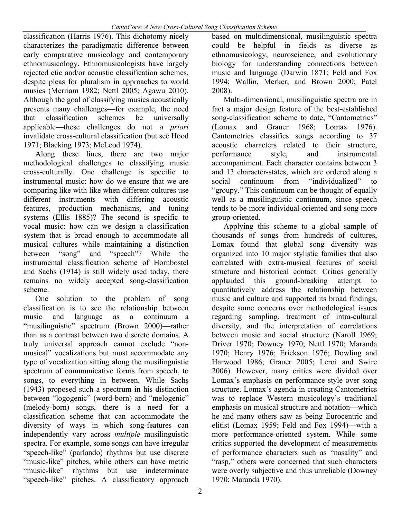classification (Harris 1976). This dichotomy nicely characterizes the paradigmatic difference between early comparative musicology and contemporary ethnomusicology. Ethnomusicologists have largely rejected etic and/or acoustic classification schemes, despite pleas for pluralism in approaches to world musics (Merriam 1982; Nettl 2005; Agawu 2010). Although the goal of classifying musics acoustically presents many challenges—for example, the need that classification schemes be universally applicable—these challenges do not *a priori* invalidate cross-cultural classification (but see Hood 1971; Blacking 1973; McLeod 1974).

Along these lines, there are two major methodological challenges to classifying music cross-culturally. One challenge is specific to instrumental music: how do we ensure that we are comparing like with like when different cultures use different instruments with differing acoustic features, production mechanisms, and tuning systems (Ellis 1885)? The second is specific to vocal music: how can we design a classification system that is broad enough to accommodate all musical cultures while maintaining a distinction between "song" and "speech"? While the instrumental classification scheme of Hornbostel and Sachs (1914) is still widely used today, there remains no widely accepted song-classification scheme.

One solution to the problem of song classification is to see the relationship between music and language as a continuum—a "musilinguistic" spectrum (Brown 2000)—rather than as a contrast between two discrete domains. A truly universal approach cannot exclude "nonmusical" vocalizations but must accommodate any type of vocalization sitting along the musilinguistic spectrum of communicative forms from speech, to songs, to everything in between. While Sachs (1943) proposed such a spectrum in his distinction between "logogenic" (word-born) and "melogenic" (melody-born) songs, there is a need for a classification scheme that can accommodate the diversity of ways in which song-features can independently vary across *multiple* musilinguistic spectra. For example, some songs can have irregular "speech-like" (parlando) rhythms but use discrete "music-like" pitches, while others can have metric<br>"music-like" rhythms but use indeterminate rhythms but use indeterminate "speech-like" pitches. A classificatory approach

based on multidimensional, musilinguistic spectra could be helpful in fields as diverse as ethnomusicology, neuroscience, and evolutionary biology for understanding connections between music and language (Darwin 1871; Feld and Fox 1994; Wallin, Merker, and Brown 2000; Patel 2008).

Multi-dimensional, musilinguistic spectra are in fact a major design feature of the best-established song-classification scheme to date, "Cantometrics" (Lomax and Grauer 1968; Lomax 1976). Cantometrics classifies songs according to 37 acoustic characters related to their structure, performance style, and instrumental accompaniment. Each character contains between 3 and 13 character-states, which are ordered along a social continuum from "individualized" to "groupy." This continuum can be thought of equally well as a musilinguistic continuum, since speech tends to be more individual-oriented and song more group-oriented.

Applying this scheme to a global sample of thousands of songs from hundreds of cultures, Lomax found that global song diversity was organized into 10 major stylistic families that also correlated with extra-musical features of social structure and historical contact. Critics generally applauded this ground-breaking attempt to quantitatively address the relationship between music and culture and supported its broad findings, despite some concerns over methodological issues regarding sampling, treatment of intra-cultural diversity, and the interpretation of correlations between music and social structure (Naroll 1969; Driver 1970; Downey 1970; Nettl 1970; Maranda 1970; Henry 1976; Erickson 1976; Dowling and Harwood 1986; Grauer 2005; Leroi and Swire 2006). However, many critics were divided over Lomax's emphasis on performance style over song structure. Lomax's agenda in creating Cantometrics was to replace Western musicology's traditional emphasis on musical structure and notation—which he and many others saw as being Eurocentric and elitist (Lomax 1959; Feld and Fox 1994)—with a more performance-oriented system. While some critics supported the development of measurements of performance characters such as "nasality" and "rasp," others were concerned that such characters were overly subjective and thus unreliable (Downey 1970; Maranda 1970).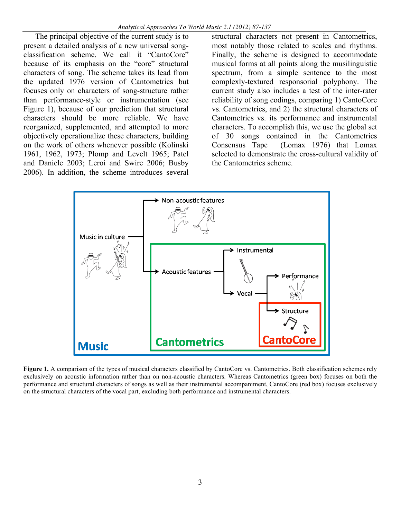The principal objective of the current study is to present a detailed analysis of a new universal songclassification scheme. We call it "CantoCore" because of its emphasis on the "core" structural characters of song. The scheme takes its lead from the updated 1976 version of Cantometrics but focuses only on characters of song-structure rather than performance-style or instrumentation (see Figure 1), because of our prediction that structural characters should be more reliable. We have reorganized, supplemented, and attempted to more objectively operationalize these characters, building on the work of others whenever possible (Kolinski 1961, 1962, 1973; Plomp and Levelt 1965; Patel and Daniele 2003; Leroi and Swire 2006; Busby 2006). In addition, the scheme introduces several

structural characters not present in Cantometrics, most notably those related to scales and rhythms. Finally, the scheme is designed to accommodate musical forms at all points along the musilinguistic spectrum, from a simple sentence to the most complexly-textured responsorial polyphony. The current study also includes a test of the inter-rater reliability of song codings, comparing 1) CantoCore vs. Cantometrics, and 2) the structural characters of Cantometrics vs. its performance and instrumental characters. To accomplish this, we use the global set of 30 songs contained in the Cantometrics Consensus Tape (Lomax 1976) that Lomax selected to demonstrate the cross-cultural validity of the Cantometrics scheme.



Figure 1. A comparison of the types of musical characters classified by CantoCore vs. Cantometrics. Both classification schemes rely exclusively on acoustic information rather than on non-acoustic characters. Whereas Cantometrics (green box) focuses on both the performance and structural characters of songs as well as their instrumental accompaniment, CantoCore (red box) focuses exclusively on the structural characters of the vocal part, excluding both performance and instrumental characters.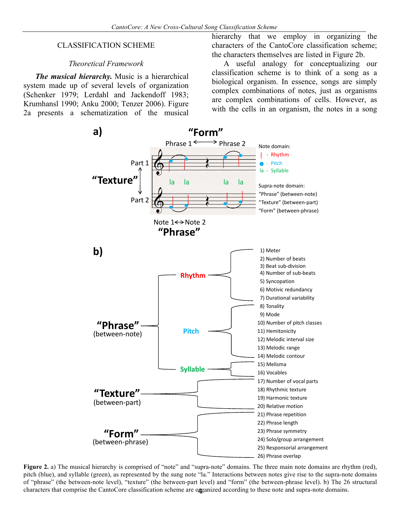#### CLASSIFICATION SCHEME

#### *Theoretical Framework*

*The musical hierarchy.* Music is a hierarchical system made up of several levels of organization (Schenker 1979; Lerdahl and Jackendoff 1983; Krumhansl 1990; Anku 2000; Tenzer 2006). Figure 2a presents a schematization of the musical

hierarchy that we employ in organizing the characters of the CantoCore classification scheme; the characters themselves are listed in Figure 2b.

A useful analogy for conceptualizing our classification scheme is to think of a song as a biological organism. In essence, songs are simply complex combinations of notes, just as organisms are complex combinations of cells. However, as with the cells in an organism, the notes in a song



characters that comprise the CantoCore classification scheme are organized according to these note and supra-note domains. **Figure 2.** a) The musical hierarchy is comprised of "note" and "supra-note" domains. The three main note domains are rhythm (red), pitch (blue), and syllable (green), as represented by the sung note "la." Interactions between notes give rise to the supra-note domains of "phrase" (the between-note level), "texture" (the between-part level) and "form" (the between-phrase level). b) The 26 structural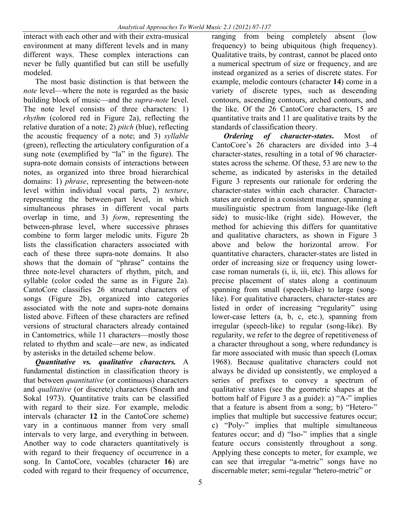interact with each other and with their extra-musical environment at many different levels and in many different ways. These complex interactions can never be fully quantified but can still be usefully modeled.

The most basic distinction is that between the *note* level—where the note is regarded as the basic building block of music—and the *supra-note* level. The note level consists of three characters: 1) *rhythm* (colored red in Figure 2a), reflecting the relative duration of a note; 2) *pitch* (blue), reflecting the acoustic frequency of a note; and 3) *syllable* (green), reflecting the articulatory configuration of a sung note (exemplified by "la" in the figure). The supra-note domain consists of interactions between notes, as organized into three broad hierarchical domains: 1) *phrase*, representing the between-note level within individual vocal parts, 2) *texture*, representing the between-part level, in which simultaneous phrases in different vocal parts overlap in time, and 3) *form*, representing the between-phrase level, where successive phrases combine to form larger melodic units. Figure 2b lists the classification characters associated with each of these three supra-note domains. It also shows that the domain of "phrase" contains the three note-level characters of rhythm, pitch, and syllable (color coded the same as in Figure 2a). CantoCore classifies 26 structural characters of songs (Figure 2b), organized into categories associated with the note and supra-note domains listed above. Fifteen of these characters are refined versions of structural characters already contained in Cantometrics, while 11 characters—mostly those related to rhythm and scale—are new, as indicated by asterisks in the detailed scheme below.

*Quantitative vs. qualitative characters.* A fundamental distinction in classification theory is that between *quantitative* (or continuous) characters and *qualitative* (or discrete) characters (Sneath and Sokal 1973). Quantitative traits can be classified with regard to their size. For example, melodic intervals (character **12** in the CantoCore scheme) vary in a continuous manner from very small intervals to very large, and everything in between. Another way to code characters quantitatively is with regard to their frequency of occurrence in a song. In CantoCore, vocables (character **16**) are coded with regard to their frequency of occurrence,

ranging from being completely absent (low frequency) to being ubiquitous (high frequency). Qualitative traits, by contrast, cannot be placed onto a numerical spectrum of size or frequency, and are instead organized as a series of discrete states. For example, melodic contours (character **14**) come in a variety of discrete types, such as descending contours, ascending contours, arched contours, and the like. Of the 26 CantoCore characters, 15 are quantitative traits and 11 are qualitative traits by the standards of classification theory.

*Ordering of character-states***.** Most of CantoCore's 26 characters are divided into 3–4 character-states, resulting in a total of 96 characterstates across the scheme. Of these, 53 are new to the scheme, as indicated by asterisks in the detailed Figure 3 represents our rationale for ordering the character-states within each character. Characterstates are ordered in a consistent manner, spanning a musilinguistic spectrum from language-like (left side) to music-like (right side). However, the method for achieving this differs for quantitative and qualitative characters, as shown in Figure 3 above and below the horizontal arrow. For quantitative characters, character-states are listed in order of increasing size or frequency using lowercase roman numerals (i, ii, iii, etc). This allows for precise placement of states along a continuum spanning from small (speech-like) to large (songlike). For qualitative characters, character-states are listed in order of increasing "regularity" using lower-case letters (a, b, c, etc.), spanning from irregular (speech-like) to regular (song-like). By regularity, we refer to the degree of repetitiveness of a character throughout a song, where redundancy is far more associated with music than speech (Lomax 1968). Because qualitative characters could not always be divided up consistently, we employed a series of prefixes to convey a spectrum of qualitative states (see the geometric shapes at the bottom half of Figure 3 as a guide): a) "A-" implies that a feature is absent from a song; b) "Hetero-" implies that multiple but successive features occur; c) "Poly-" implies that multiple simultaneous features occur; and d) "Iso-" implies that a single feature occurs consistently throughout a song. Applying these concepts to meter, for example, we can see that irregular "a-metric" songs have no discernable meter; semi-regular "hetero-metric" or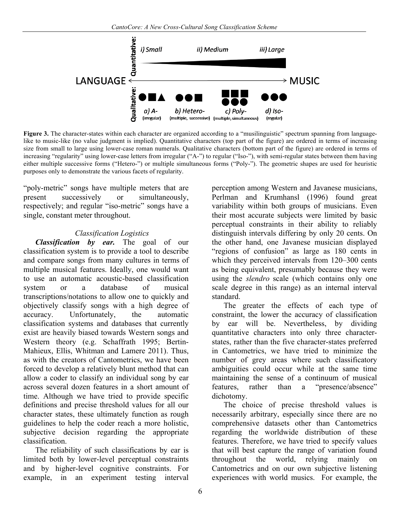

**Figure 3.** The character-states within each character are organized according to a "musilinguistic" spectrum spanning from languagelike to music-like (no value judgment is implied). Quantitative characters (top part of the figure) are ordered in terms of increasing size from small to large using lower-case roman numerals. Qualitative characters (bottom part of the figure) are ordered in terms of increasing "regularity" using lower-case letters from irregular ("A-") to regular ("Iso-"), with semi-regular states between them having either multiple successive forms ("Hetero-") or multiple simultaneous forms ("Poly-"). The geometric shapes are used for heuristic purposes only to demonstrate the various facets of regularity.

"poly-metric" songs have multiple meters that are present successively or simultaneously, respectively; and regular "iso-metric" songs have a single, constant meter throughout.

### *Classification Logistics*

*Classification by ear.* The goal of our classification system is to provide a tool to describe and compare songs from many cultures in terms of multiple musical features. Ideally, one would want to use an automatic acoustic-based classification system or a database of musical transcriptions/notations to allow one to quickly and objectively classify songs with a high degree of accuracy. Unfortunately, the automatic classification systems and databases that currently exist are heavily biased towards Western songs and Western theory (e.g. Schaffrath 1995; Bertin-Mahieux, Ellis, Whitman and Lamere 2011). Thus, as with the creators of Cantometrics, we have been forced to develop a relatively blunt method that can allow a coder to classify an individual song by ear across several dozen features in a short amount of time. Although we have tried to provide specific definitions and precise threshold values for all our character states, these ultimately function as rough guidelines to help the coder reach a more holistic, subjective decision regarding the appropriate classification.

The reliability of such classifications by ear is limited both by lower-level perceptual constraints and by higher-level cognitive constraints. For example, in an experiment testing interval

perception among Western and Javanese musicians, Perlman and Krumhansl (1996) found great variability within both groups of musicians. Even their most accurate subjects were limited by basic perceptual constraints in their ability to reliably distinguish intervals differing by only 20 cents. On the other hand, one Javanese musician displayed "regions of confusion" as large as 180 cents in which they perceived intervals from 120–300 cents as being equivalent, presumably because they were using the *slendro* scale (which contains only one scale degree in this range) as an internal interval standard.

The greater the effects of each type of constraint, the lower the accuracy of classification by ear will be. Nevertheless, by dividing quantitative characters into only three characterstates, rather than the five character-states preferred in Cantometrics, we have tried to minimize the number of grey areas where such classificatory ambiguities could occur while at the same time maintaining the sense of a continuum of musical features, rather than a "presence/absence" dichotomy.

The choice of precise threshold values is necessarily arbitrary, especially since there are no comprehensive datasets other than Cantometrics regarding the worldwide distribution of these features. Therefore, we have tried to specify values that will best capture the range of variation found throughout the world, relying mainly on Cantometrics and on our own subjective listening experiences with world musics. For example, the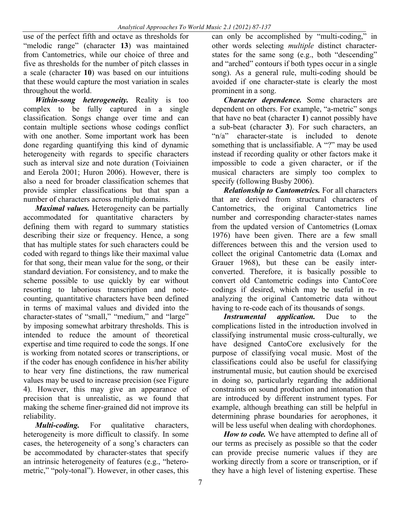use of the perfect fifth and octave as thresholds for "melodic range" (character **13**) was maintained from Cantometrics, while our choice of three and five as thresholds for the number of pitch classes in a scale (character **10**) was based on our intuitions that these would capture the most variation in scales throughout the world.

*Within-song heterogeneity.* Reality is too complex to be fully captured in a single classification. Songs change over time and can contain multiple sections whose codings conflict with one another. Some important work has been done regarding quantifying this kind of dynamic heterogeneity with regards to specific characters such as interval size and note duration (Toiviainen and Eerola 2001; Huron 2006). However, there is also a need for broader classification schemes that provide simpler classifications but that span a number of characters across multiple domains.

*Maximal values.* Heterogeneity can be partially accommodated for quantitative characters by defining them with regard to summary statistics describing their size or frequency. Hence, a song that has multiple states for such characters could be coded with regard to things like their maximal value for that song, their mean value for the song, or their standard deviation. For consistency, and to make the scheme possible to use quickly by ear without resorting to laborious transcription and notecounting, quantitative characters have been defined in terms of maximal values and divided into the character-states of "small," "medium," and "large" by imposing somewhat arbitrary thresholds. This is intended to reduce the amount of theoretical expertise and time required to code the songs. If one is working from notated scores or transcriptions, or if the coder has enough confidence in his/her ability to hear very fine distinctions, the raw numerical values may be used to increase precision (see Figure 4). However, this may give an appearance of precision that is unrealistic, as we found that making the scheme finer-grained did not improve its reliability.

*Multi-coding.* For qualitative characters, heterogeneity is more difficult to classify. In some cases, the heterogeneity of a song's characters can be accommodated by character-states that specify an intrinsic heterogeneity of features (e.g., "heterometric," "poly-tonal"). However, in other cases, this

can only be accomplished by "multi-coding," in other words selecting *multiple* distinct characterstates for the same song (e.g., both "descending" and "arched" contours if both types occur in a single song). As a general rule, multi-coding should be avoided if one character-state is clearly the most prominent in a song.

*Character dependence.* Some characters are dependent on others. For example, "a-metric" songs that have no beat (character **1**) cannot possibly have a sub-beat (character **3**). For such characters, an "n/a" character-state is included to denote something that is unclassifiable. A "?" may be used instead if recording quality or other factors make it impossible to code a given character, or if the musical characters are simply too complex to specify (following Busby 2006).

*Relationship to Cantometrics.* For all characters that are derived from structural characters of Cantometrics, the original Cantometrics line number and corresponding character-states names from the updated version of Cantometrics (Lomax 1976) have been given. There are a few small differences between this and the version used to collect the original Cantometric data (Lomax and Grauer 1968), but these can be easily interconverted. Therefore, it is basically possible to convert old Cantometric codings into CantoCore codings if desired, which may be useful in reanalyzing the original Cantometric data without having to re-code each of its thousands of songs.

*Instrumental application.* Due to the complications listed in the introduction involved in classifying instrumental music cross-culturally, we have designed CantoCore exclusively for the purpose of classifying vocal music. Most of the classifications could also be useful for classifying instrumental music, but caution should be exercised in doing so, particularly regarding the additional constraints on sound production and intonation that are introduced by different instrument types. For example, although breathing can still be helpful in determining phrase boundaries for aerophones, it will be less useful when dealing with chordophones.

*How to code.* We have attempted to define all of our terms as precisely as possible so that the coder can provide precise numeric values if they are working directly from a score or transcription, or if they have a high level of listening expertise. These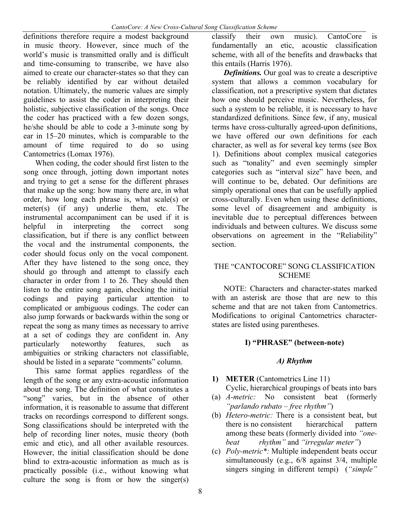definitions therefore require a modest background in music theory. However, since much of the world's music is transmitted orally and is difficult and time-consuming to transcribe, we have also aimed to create our character-states so that they can be reliably identified by ear without detailed notation. Ultimately, the numeric values are simply guidelines to assist the coder in interpreting their holistic, subjective classification of the songs. Once the coder has practiced with a few dozen songs, he/she should be able to code a 3-minute song by ear in 15–20 minutes, which is comparable to the amount of time required to do so using Cantometrics (Lomax 1976).

When coding, the coder should first listen to the song once through, jotting down important notes and trying to get a sense for the different phrases that make up the song: how many there are, in what order, how long each phrase is, what scale(s) or meter(s) (if any) underlie them, etc. The instrumental accompaniment can be used if it is helpful in interpreting the correct song classification, but if there is any conflict between the vocal and the instrumental components, the coder should focus only on the vocal component. After they have listened to the song once, they should go through and attempt to classify each character in order from 1 to 26. They should then listen to the entire song again, checking the initial codings and paying particular attention to complicated or ambiguous codings. The coder can also jump forwards or backwards within the song or repeat the song as many times as necessary to arrive at a set of codings they are confident in. Any particularly noteworthy features, such as ambiguities or striking characters not classifiable, should be listed in a separate "comments" column.

This same format applies regardless of the length of the song or any extra-acoustic information about the song. The definition of what constitutes a "song" varies, but in the absence of other information, it is reasonable to assume that different tracks on recordings correspond to different songs. Song classifications should be interpreted with the help of recording liner notes, music theory (both emic and etic), and all other available resources. However, the initial classification should be done blind to extra-acoustic information as much as is practically possible (i.e., without knowing what culture the song is from or how the singer(s)

classify their own music). CantoCore is fundamentally an etic, acoustic classification scheme, with all of the benefits and drawbacks that this entails (Harris 1976).

*Definitions.* Our goal was to create a descriptive system that allows a common vocabulary for classification, not a prescriptive system that dictates how one should perceive music. Nevertheless, for such a system to be reliable, it is necessary to have standardized definitions. Since few, if any, musical terms have cross-culturally agreed-upon definitions, we have offered our own definitions for each character, as well as for several key terms (see Box 1). Definitions about complex musical categories such as "tonality" and even seemingly simpler categories such as "interval size" have been, and will continue to be, debated. Our definitions are simply operational ones that can be usefully applied cross-culturally. Even when using these definitions, some level of disagreement and ambiguity is inevitable due to perceptual differences between individuals and between cultures. We discuss some observations on agreement in the "Reliability" section.

### THE "CANTOCORE" SONG CLASSIFICATION SCHEME

NOTE: Characters and character-states marked with an asterisk are those that are new to this scheme and that are not taken from Cantometrics. Modifications to original Cantometrics characterstates are listed using parentheses.

### **I) "PHRASE" (between-note)**

### *A) Rhythm*

- **1) METER** (Cantometrics Line 11)
- Cyclic, hierarchical groupings of beats into bars (a) *A-metric:* No consistent beat (formerly
- *"parlando rubato – free rhythm"*) (b) *Hetero-metric:* There is a consistent beat, but
- there is no consistent hierarchical pattern among these beats (formerly divided into *"onebeat rhythm"* and *"irregular meter"*)
- (c) *Poly-metric\*:* Multiple independent beats occur simultaneously (e.g., 6/8 against 3/4, multiple singers singing in different tempi) (*"simple"*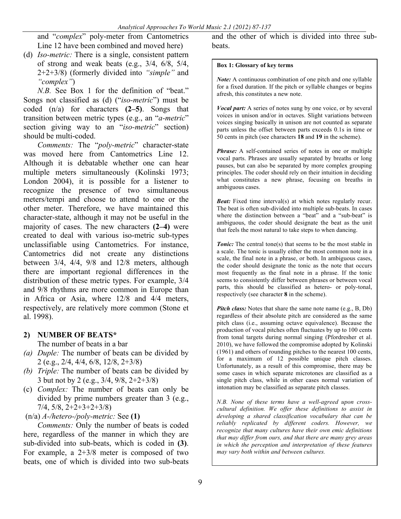and "*complex*" poly-meter from Cantometrics Line 12 have been combined and moved here)

(d) *Iso-metric:* There is a single, consistent pattern of strong and weak beats (e.g., 3/4, 6/8, 5/4, 2+2+3/8) (formerly divided into *"simple"* and *"complex"*)

*N.B.* See Box 1 for the definition of "beat." Songs not classified as (d) ("*iso-metric*") must be coded (n/a) for characters **(2–5)**. Songs that transition between metric types (e.g., an "*a-metric*" section giving way to an "*iso-metric*" section) should be multi-coded.

*Comments:* The "*poly-metric*" character-state was moved here from Cantometrics Line 12. Although it is debatable whether one can hear multiple meters simultaneously (Kolinski 1973; London 2004), it is possible for a listener to recognize the presence of two simultaneous meters/tempi and choose to attend to one or the other meter. Therefore, we have maintained this character-state, although it may not be useful in the majority of cases. The new characters **(2–4)** were created to deal with various iso-metric sub-types unclassifiable using Cantometrics. For instance, Cantometrics did not create any distinctions between 3/4, 4/4, 9/8 and 12/8 meters, although there are important regional differences in the distribution of these metric types. For example, 3/4 and 9/8 rhythms are more common in Europe than in Africa or Asia, where 12/8 and 4/4 meters, respectively, are relatively more common (Stone et al. 1998).

## **2) NUMBER OF BEATS\***

The number of beats in a bar

- *(a) Duple:* The number of beats can be divided by 2 (e.g., 2/4, 4/4, 6/8, 12/8, 2+3/8)
- *(b) Triple:* The number of beats can be divided by 3 but not by 2 (e.g., 3/4, 9/8, 2+2+3/8)
- (c) *Complex:* The number of beats can only be divided by prime numbers greater than 3 (e.g., 7/4, 5/8, 2+2+3+2+3/8)
- (n/a) *A-/hetero-/poly-metric:* See **(1)**

*Comments:* Only the number of beats is coded here, regardless of the manner in which they are sub-divided into sub-beats, which is coded in **(3)**. For example, a 2+3/8 meter is composed of two beats, one of which is divided into two sub-beats

and the other of which is divided into three sub**beats** 

#### **Box 1: Glossary of key terms**

*Note:* A continuous combination of one pitch and one syllable for a fixed duration. If the pitch or syllable changes or begins afresh, this constitutes a new note.

*Vocal part:* A series of notes sung by one voice, or by several voices in unison and/or in octaves. Slight variations between voices singing basically in unison are not counted as separate parts unless the offset between parts exceeds 0.1s in time or 50 cents in pitch (see characters **18** and **19** in the scheme).

*Phrase:* A self-contained series of notes in one or multiple vocal parts. Phrases are usually separated by breaths or long pauses, but can also be separated by more complex grouping principles. The coder should rely on their intuition in deciding what constitutes a new phrase, focusing on breaths in ambiguous cases.

*Beat:* Fixed time interval(s) at which notes regularly recur. The beat is often sub-divided into multiple sub-beats. In cases where the distinction between a "beat" and a "sub-beat" is ambiguous, the coder should designate the beat as the unit that feels the most natural to take steps to when dancing.

**Tonic:** The central tone(s) that seems to be the most stable in a scale. The tonic is usually either the most common note in a scale, the final note in a phrase, or both. In ambiguous cases, the coder should designate the tonic as the note that occurs most frequently as the final note in a phrase. If the tonic seems to consistently differ between phrases or between vocal parts, this should be classified as hetero- or poly-tonal, respectively (see character **8** in the scheme).

*Pitch class:* Notes that share the same note name (e.g., B, Db) regardless of their absolute pitch are considered as the same pitch class (i.e., assuming octave equivalence). Because the production of vocal pitches often fluctuates by up to 100 cents from tonal targets during normal singing (Pfordresher et al. 2010), we have followed the compromise adopted by Kolinski (1961) and others of rounding pitches to the nearest 100 cents, for a maximum of 12 possible unique pitch classes. Unfortunately, as a result of this compromise, there may be some cases in which separate microtones are classified as a single pitch class, while in other cases normal variation of intonation may be classified as separate pitch classes.

*N.B. None of these terms have a well-agreed upon crosscultural definition. We offer these definitions to assist in developing a shared classification vocabulary that can be reliably replicated by different coders. However, we recognize that many cultures have their own emic definitions that may differ from ours, and that there are many grey areas in which the perception and interpretation of these features may vary both within and between cultures.*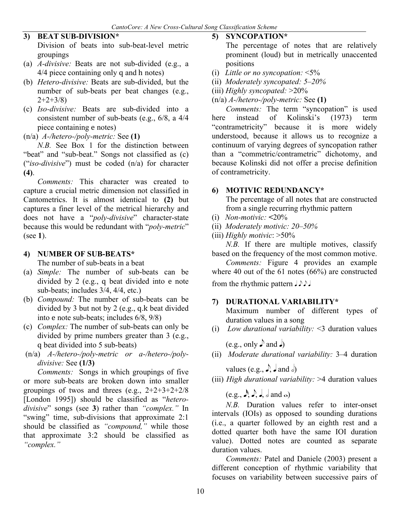### **3) BEAT SUB-DIVISION\***

Division of beats into sub-beat-level metric groupings

- (a) *A-divisive:* Beats are not sub-divided (e.g., a 4/4 piece containing only q and h notes)
- (b) *Hetero-divisive:* Beats are sub-divided, but the number of sub-beats per beat changes (e.g.,  $2+2+3/8$
- (c) *Iso-divisive:* Beats are sub-divided into a consistent number of sub-beats (e.g., 6/8, a 4/4 piece containing e notes)
- (n/a) *A-/hetero-/poly-metric:* See **(1)**

*N.B.* See Box 1 for the distinction between "beat" and "sub-beat." Songs not classified as (c) ("*iso-divisive*") must be coded (n/a) for character **(4)**.

*Comments:* This character was created to capture a crucial metric dimension not classified in Cantometrics. It is almost identical to **(2)** but captures a finer level of the metrical hierarchy and does not have a "*poly-divisive*" character-state because this would be redundant with "*poly-metric*" (see **1**).

### **4) NUMBER OF SUB-BEATS\***

The number of sub-beats in a beat

- (a) *Simple:* The number of sub-beats can be divided by 2 (e.g., q beat divided into e note sub-beats; includes 3/4, 4/4, etc.)
- (b) *Compound:* The number of sub-beats can be divided by 3 but not by 2 (e.g., q.k beat divided into e note sub-beats; includes 6/8, 9/8)
- (c) *Complex:* The number of sub-beats can only be divided by prime numbers greater than 3 (e.g., q beat divided into 5 sub-beats)
- (n/a) *A-/hetero-/poly-metric or a-/hetero-/polydivisive:* See **(1/3)**

*Comments:* Songs in which groupings of five or more sub-beats are broken down into smaller groupings of twos and threes (e.g.,  $2+2+3+2+2/8$ ) [London 1995]) should be classified as "*heterodivisive*" songs (see **3**) rather than *"complex."* In "swing" time, sub-divisions that approximate 2:1 should be classified as *"compound,"* while those that approximate 3:2 should be classified as *"complex."*

### **5) SYNCOPATION\***

The percentage of notes that are relatively prominent (loud) but in metrically unaccented positions

- (i) *Little or no syncopation:* <5%
- (ii) *Moderately syncopated: 5–20%*
- (iii) *Highly syncopated:* >20%

(n/a) *A-/hetero-/poly-metric:* See **(1)**

*Comments:* The term "syncopation" is used here instead of Kolinski's (1973) term "contrametricity" because it is more widely understood, because it allows us to recognize a continuum of varying degrees of syncopation rather than a "commetric/contrametric" dichotomy, and because Kolinski did not offer a precise definition of contrametricity.

### **6) MOTIVIC REDUNDANCY\***

The percentage of all notes that are constructed from a single recurring rhythmic pattern

- (i) *Non-motivic:* **<**20%
- (ii) *Moderately motivic: 20–50%*
- (iii) *Highly motivic*: >50%

*N.B.* If there are multiple motives, classify based on the frequency of the most common motive.

*Comments:* Figure 4 provides an example where 40 out of the 61 notes (66%) are constructed from the rhythmic pattern  $J \rightarrow$ 

### **7) DURATIONAL VARIABILITY\***

Maximum number of different types of duration values in a song

(i) *Low durational variability:* <3 duration values

(e.g., only  $\Box$ ) and  $\Box$ )

(ii) *Moderate durational variability:* 3–4 duration

values (e.g.,  $\rightarrow$ ,  $\rightarrow$  and  $\rightarrow$ )

(iii) *High durational variability:* >4 duration values

 $(e.g., \rightarrow \rightarrow \bullet, \bullet)$  and  $o)$ 

*N.B.* Duration values refer to inter-onset intervals (IOIs) as opposed to sounding durations (i.e., a quarter followed by an eighth rest and a dotted quarter both have the same IOI duration value). Dotted notes are counted as separate duration values.

*Comments:* Patel and Daniele (2003) present a different conception of rhythmic variability that focuses on variability between successive pairs of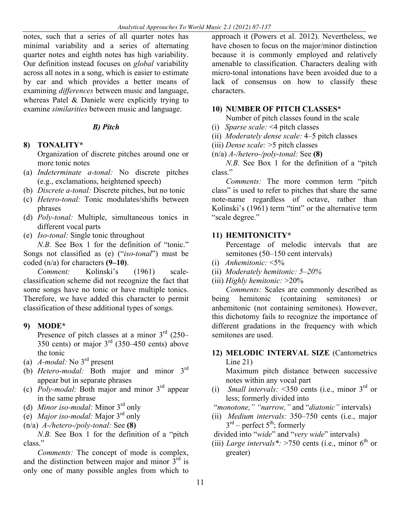notes, such that a series of all quarter notes has minimal variability and a series of alternating quarter notes and eighth notes has high variability. Our definition instead focuses on *global* variability across all notes in a song, which is easier to estimate by ear and which provides a better means of examining *differences* between music and language, whereas Patel & Daniele were explicitly trying to examine *similarities* between music and language.

### *B) Pitch*

**8) TONALITY\***

Organization of discrete pitches around one or more tonic notes

- (a) *Indeterminate a-tonal:* No discrete pitches (e.g., exclamations, heightened speech)
- (b) *Discrete a-tonal:* Discrete pitches, but no tonic
- (c) *Hetero-tonal:* Tonic modulates/shifts between phrases
- (d) *Poly-tonal:* Multiple, simultaneous tonics in different vocal parts
- (e) *Iso-tonal:* Single tonic throughout

*N.B.* See Box 1 for the definition of "tonic." Songs not classified as (e) ("*iso-tonal*") must be coded (n/a) for characters **(9–10)**.

*Comment:* Kolinski's (1961) scaleclassification scheme did not recognize the fact that some songs have no tonic or have multiple tonics. Therefore, we have added this character to permit classification of these additional types of songs.

### **9) MODE\***

Presence of pitch classes at a minor  $3<sup>rd</sup>$  (250– 350 cents) or major  $3<sup>rd</sup>$  (350–450 cents) above the tonic

- (a) *A-modal:* No 3rd present
- (b) *Hetero-modal:* Both major and minor 3rd appear but in separate phrases
- (c) *Poly-modal:* Both major and minor 3rd appear in the same phrase
- (d) *Minor iso-modal:* Minor 3rd only
- (e) *Major iso-modal:* Major 3rd only
- (n/a) *A-/hetero-/poly-tonal:* See **(8)**

*N.B.* See Box 1 for the definition of a "pitch class."

*Comments:* The concept of mode is complex, and the distinction between major and minor  $3<sup>rd</sup>$  is only one of many possible angles from which to

approach it (Powers et al. 2012). Nevertheless, we have chosen to focus on the major/minor distinction because it is commonly employed and relatively amenable to classification. Characters dealing with micro-tonal intonations have been avoided due to a lack of consensus on how to classify these characters.

### **10) NUMBER OF PITCH CLASSES\***

Number of pitch classes found in the scale

- (i) *Sparse scale:* <4 pitch classes
- (ii) *Moderately dense scale:* 4–5 pitch classes
- (iii) *Dense scale:* >5 pitch classes
- (n/a) *A-/hetero-/poly-tonal:* See **(8)**

*N.B.* See Box 1 for the definition of a "pitch class."

*Comments:* The more common term "pitch class" is used to refer to pitches that share the same note-name regardless of octave, rather than Kolinski's (1961) term "tint" or the alternative term "scale degree."

## **11) HEMITONICITY\***

Percentage of melodic intervals that are semitones (50–150 cent intervals)

- (i) *Anhemitonic:* <5%
- (ii) *Moderately hemitonic: 5–20%*
- (iii) *Highly hemitonic:* >20%

*Comments:* Scales are commonly described as being hemitonic (containing semitones) or anhemitonic (not containing semitones). However, this dichotomy fails to recognize the importance of different gradations in the frequency with which semitones are used.

**12) MELODIC INTERVAL SIZE** (Cantometrics Line 21)

Maximum pitch distance between successive notes within any vocal part

(i) *Small intervals:* <350 cents (i.e., minor  $3<sup>rd</sup>$  or less; formerly divided into

"*monotone," "narrow,"* and "*diatonic"* intervals)

- (ii) *Medium intervals:* 350–750 cents (i.e., major  $3<sup>rd</sup>$  – perfect  $5<sup>th</sup>$ ; formerly
- divided into "*wide*" and "*very wide*" intervals)
- (iii) *Large intervals*\*:  $>750$  cents (i.e., minor 6<sup>th</sup> or greater)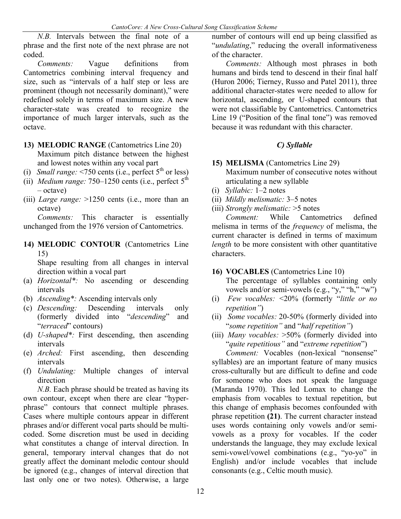*N.B.* Intervals between the final note of a phrase and the first note of the next phrase are not coded.

*Comments:* Vague definitions from Cantometrics combining interval frequency and size, such as "intervals of a half step or less are prominent (though not necessarily dominant)," were redefined solely in terms of maximum size. A new character-state was created to recognize the importance of much larger intervals, such as the octave.

- **13) MELODIC RANGE** (Cantometrics Line 20) Maximum pitch distance between the highest and lowest notes within any vocal part
- (i) *Small range:*  $\leq$ 750 cents (i.e., perfect  $5<sup>th</sup>$  or less)
- (ii) *Medium range:*  $750-1250$  cents (i.e., perfect  $5<sup>th</sup>$ – octave)
- (iii) *Large range:* >1250 cents (i.e., more than an octave)

*Comments:* This character is essentially unchanged from the 1976 version of Cantometrics.

**14) MELODIC CONTOUR** (Cantometrics Line 15)

Shape resulting from all changes in interval direction within a vocal part

- (a) *Horizontal\*:* No ascending or descending intervals
- (b) *Ascending\*:* Ascending intervals only
- (c) *Descending:* Descending intervals only (formerly divided into "*descending*" and "*terraced*" contours)
- (d) *U-shaped\*:* First descending, then ascending intervals
- (e) *Arched:* First ascending, then descending intervals
- (f) *Undulating:* Multiple changes of interval direction

*N.B.* Each phrase should be treated as having its own contour, except when there are clear "hyperphrase" contours that connect multiple phrases. Cases where multiple contours appear in different phrases and/or different vocal parts should be multicoded. Some discretion must be used in deciding what constitutes a change of interval direction. In general, temporary interval changes that do not greatly affect the dominant melodic contour should be ignored (e.g., changes of interval direction that last only one or two notes). Otherwise, a large

number of contours will end up being classified as "*undulating*," reducing the overall informativeness of the character.

*Comments:* Although most phrases in both humans and birds tend to descend in their final half (Huron 2006; Tierney, Russo and Patel 2011), three additional character-states were needed to allow for horizontal, ascending, or U-shaped contours that were not classifiable by Cantometrics. Cantometrics Line 19 ("Position of the final tone") was removed because it was redundant with this character.

## *C) Syllable*

- **15) MELISMA** (Cantometrics Line 29) Maximum number of consecutive notes without articulating a new syllable
- (i) *Syllabic:* 1–2 notes
- (ii) *Mildly melismatic:* 3–5 notes
- (iii) *Strongly melismatic:* >5 notes

*Comment:* While Cantometrics defined melisma in terms of the *frequency* of melisma, the current character is defined in terms of maximum *length* to be more consistent with other quantitative characters.

## **16) VOCABLES** (Cantometrics Line 10)

The percentage of syllables containing only vowels and/or semi-vowels (e.g., "y," "h," "w")

- (i) *Few vocables:* <20% (formerly "*little or no repetition"*)
- (ii) *Some vocables:* 20-50% (formerly divided into "*some repetition"* and "*half repetition"*)
- (iii) *Many vocables:* >50% (formerly divided into "*quite repetitious"* and "*extreme repetition*")

*Comment:* Vocables (non-lexical "nonsense" syllables) are an important feature of many musics cross-culturally but are difficult to define and code for someone who does not speak the language (Maranda 1970). This led Lomax to change the emphasis from vocables to textual repetition, but this change of emphasis becomes confounded with phrase repetition **(21)**. The current character instead uses words containing only vowels and/or semivowels as a proxy for vocables. If the coder understands the language, they may exclude lexical semi-vowel/vowel combinations (e.g., "yo-yo" in English) and/or include vocables that include consonants (e.g., Celtic mouth music).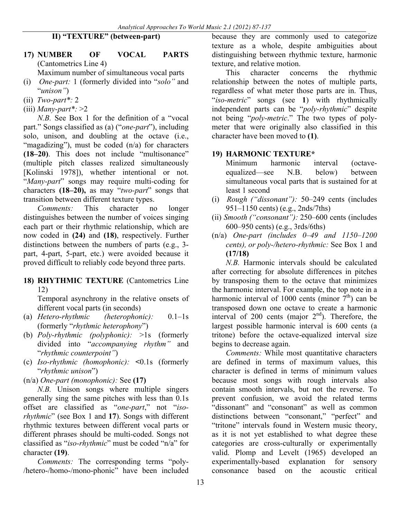### **II) "TEXTURE" (between-part)**

## **17) NUMBER OF VOCAL PARTS** (Cantometrics Line 4)

Maximum number of simultaneous vocal parts

- (i) *One-part:* 1 (formerly divided into "*solo"* and "*unison"*)
- (ii) *Two-part\*:* 2
- (iii) *Many-part\*:* >2

*N.B.* See Box 1 for the definition of a "vocal part." Songs classified as (a) ("*one-part*"), including solo, unison, and doubling at the octave (i.e., "magadizing"), must be coded (n/a) for characters **(18–20)**. This does not include "multisonance" (multiple pitch classes realized simultaneously [Kolinski 1978]), whether intentional or not. "*Many-part*" songs may require multi-coding for characters **(18–20),** as may "*two-part*" songs that transition between different texture types.

*Comments:* This character no longer distinguishes between the number of voices singing each part or their rhythmic relationship, which are now coded in **(24)** and **(18)**, respectively. Further distinctions between the numbers of parts (e.g., 3 part, 4-part, 5-part, etc.) were avoided because it proved difficult to reliably code beyond three parts.

#### **18) RHYTHMIC TEXTURE** (Cantometrics Line 12)

Temporal asynchrony in the relative onsets of different vocal parts (in seconds)

- (a) *Hetero-rhythmic (heterophonic):* 0.1–1s (formerly "*rhythmic heterophony*")
- (b) *Poly-rhythmic (polyphonic):* >1s (formerly divided into "*accompanying rhythm"* and "*rhythmic counterpoint"*)
- (c) *Iso-rhythmic (homophonic):* **<**0.1s (formerly "*rhythmic unison*")

(n/a) *One-part (monophonic):* See **(17)**

*N.B.* Unison songs where multiple singers generally sing the same pitches with less than 0.1s offset are classified as "*one-part*," not "*isorhythmic*" (see Box 1 and **17**). Songs with different rhythmic textures between different vocal parts or different phrases should be multi-coded. Songs not classified as "*iso-rhythmic*" must be coded "n/a" for character **(19)**.

*Comments:* The corresponding terms "poly- /hetero-/homo-/mono-phonic" have been included

because they are commonly used to categorize texture as a whole, despite ambiguities about distinguishing between rhythmic texture, harmonic texture, and relative motion.

This character concerns the rhythmic relationship between the notes of multiple parts, regardless of what meter those parts are in. Thus, "*iso-metric*" songs (see **1**) with rhythmically independent parts can be "*poly-rhythmic*" despite not being "*poly-metric*." The two types of polymeter that were originally also classified in this character have been moved to **(1)**.

### **19) HARMONIC TEXTURE\***

Minimum harmonic interval (octaveequalized—see N.B. below) between simultaneous vocal parts that is sustained for at least 1 second

- (i) *Rough ("dissonant"):* 50–249 cents (includes 951–1150 cents) (e.g., 2nds/7ths)
- (ii) *Smooth ("consonant"):* 250–600 cents (includes 600–950 cents) (e.g., 3rds/6ths)
- (n/a) *One-part (includes 0–49 and 1150–1200 cents), or poly-/hetero-rhythmic:* See Box 1 and **(17/18)**

*N.B.* Harmonic intervals should be calculated after correcting for absolute differences in pitches by transposing them to the octave that minimizes the harmonic interval. For example, the top note in a harmonic interval of 1000 cents (minor  $7<sup>th</sup>$ ) can be transposed down one octave to create a harmonic interval of 200 cents (major  $2<sup>nd</sup>$ ). Therefore, the largest possible harmonic interval is 600 cents (a tritone) before the octave-equalized interval size begins to decrease again.

*Comments:* While most quantitative characters are defined in terms of maximum values, this character is defined in terms of minimum values because most songs with rough intervals also contain smooth intervals, but not the reverse. To prevent confusion, we avoid the related terms "dissonant" and "consonant" as well as common distinctions between "consonant," "perfect" and "tritone" intervals found in Western music theory, as it is not yet established to what degree these categories are cross-culturally or experimentally valid. Plomp and Levelt (1965) developed an experimentally-based explanation for sensory consonance based on the acoustic critical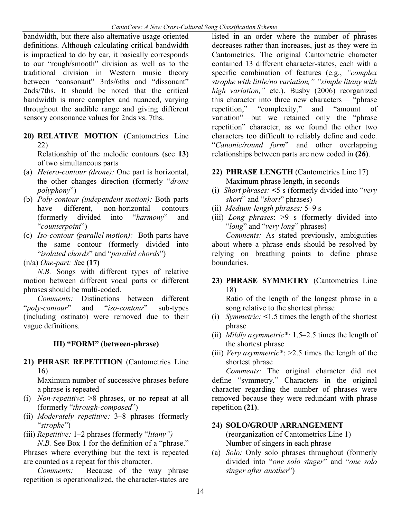bandwidth, but there also alternative usage-oriented definitions. Although calculating critical bandwidth is impractical to do by ear, it basically corresponds to our "rough/smooth" division as well as to the traditional division in Western music theory between "consonant" 3rds/6ths and "dissonant" 2nds/7ths. It should be noted that the critical bandwidth is more complex and nuanced, varying throughout the audible range and giving different sensory consonance values for 2nds vs. 7ths.

**20) RELATIVE MOTION** (Cantometrics Line 22)

Relationship of the melodic contours (see **13**) of two simultaneous parts

- (a) *Hetero-contour (drone):* One part is horizontal, the other changes direction (formerly "*drone polyphony*")
- (b) *Poly-contour (independent motion):* Both parts have different, non-horizontal contours (formerly divided into "*harmony*" and "*counterpoint*")
- (c) *Iso-contour (parallel motion):* Both parts have the same contour (formerly divided into "*isolated chords*" and "*parallel chords*")

(n/a) *One-part: S*ee **(17)**

*N.B.* Songs with different types of relative motion between different vocal parts or different phrases should be multi-coded.

*Comments:* Distinctions between different "*poly-contour*" and "*iso-contour*" sub-types (including ostinato) were removed due to their vague definitions.

### **III) "FORM" (between-phrase)**

**21) PHRASE REPETITION** (Cantometrics Line 16)

Maximum number of successive phrases before a phrase is repeated

- (i) *Non-repetitive*: >8 phrases, or no repeat at all (formerly "*through-composed*")
- (ii) *Moderately repetitive:* 3–8 phrases (formerly "*strophe*")
- (iii) *Repetitive:* 1–2 phrases (formerly "*litany")*

*N.B.* See Box 1 for the definition of a "phrase." Phrases where everything but the text is repeated are counted as a repeat for this character.

*Comments:* Because of the way phrase repetition is operationalized, the character-states are

listed in an order where the number of phrases decreases rather than increases, just as they were in Cantometrics. The original Cantometric character contained 13 different character-states, each with a specific combination of features (e.g., *"complex strophe with little/no variation," "simple litany with high variation,"* etc.). Busby (2006) reorganized this character into three new characters— "phrase repetition," "complexity," and "amount of variation"—but we retained only the "phrase repetition" character, as we found the other two characters too difficult to reliably define and code. "*Canonic/round form*" and other overlapping relationships between parts are now coded in **(26)**.

## **22) PHRASE LENGTH** (Cantometrics Line 17)

Maximum phrase length, in seconds

- (i) *Short phrases:* **<**5 s (formerly divided into "*very short*" and "*short*" phrases)
- (ii) *Medium-length phrases:* 5–9 s
- (iii) *Long phrases*: >9 s (formerly divided into "*long*" and "*very long*" phrases)

*Comments:* As stated previously, ambiguities about where a phrase ends should be resolved by relying on breathing points to define phrase boundaries.

**23) PHRASE SYMMETRY** (Cantometrics Line 18)

Ratio of the length of the longest phrase in a song relative to the shortest phrase

- (i) *Symmetric:* **<**1.5 times the length of the shortest phrase
- (ii) *Mildly asymmetric\*:* 1.5–2.5 times the length of the shortest phrase
- (iii) *Very asymmetric\**: >2.5 times the length of the shortest phrase

*Comments:* The original character did not define "symmetry." Characters in the original character regarding the number of phrases were removed because they were redundant with phrase repetition **(21)**.

### **24) SOLO/GROUP ARRANGEMENT**

(reorganization of Cantometrics Line 1) Number of singers in each phrase

(a) *Solo:* Only solo phrases throughout (formerly divided into "*one solo singer*" and "*one solo singer after another*")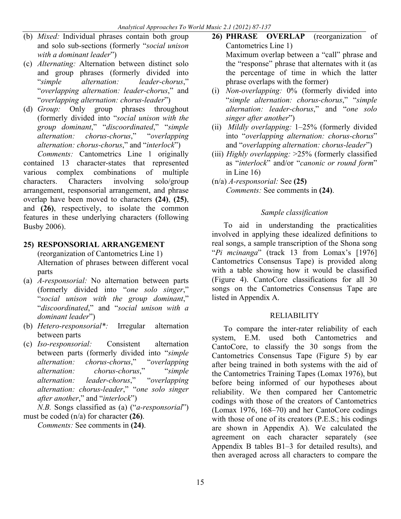- (b) *Mixed:* Individual phrases contain both group and solo sub-sections (formerly "*social unison with a dominant leader*")
- (c) *Alternating:* Alternation between distinct solo and group phrases (formerly divided into "*simple alternation: leader-chorus*," "*overlapping alternation: leader-chorus*," and "*overlapping alternation: chorus-leader*")
- (d) *Group:* Only group phrases throughout (formerly divided into "*social unison with the group dominant*," "*discoordinated*," "*simple alternation: chorus-chorus*," "*overlapping alternation: chorus-chorus*," and "*interlock*")

*Comments:* Cantometrics Line 1 originally contained 13 character-states that represented various complex combinations of multiple characters. Characters involving solo/group arrangement, responsorial arrangement, and phrase overlap have been moved to characters **(24)**, **(25)**, and **(26)**, respectively, to isolate the common features in these underlying characters (following Busby 2006).

### **25) RESPONSORIAL ARRANGEMENT**

(reorganization of Cantometrics Line 1) Alternation of phrases between different vocal parts

- (a) *A-responsorial:* No alternation between parts (formerly divided into "*one solo singer*," "*social unison with the group dominant*," "*discoordinated*," and "*social unison with a dominant leader*")
- (b) *Hetero-responsorial\*:* Irregular alternation between parts
- (c) *Iso-responsorial:* Consistent alternation between parts (formerly divided into "*simple alternation: chorus-chorus*," "*overlapping alternation: chorus-chorus*," "*simple alternation: leader-chorus*," "*overlapping alternation: chorus-leader*," "*one solo singer after another*," and "*interlock*")

*N.B.* Songs classified as (a) ("*a-responsorial*") must be coded (n/a) for character **(26)**.

*Comments:* See comments in **(24)**.

- **26) PHRASE OVERLAP** (reorganization of Cantometrics Line 1) Maximum overlap between a "call" phrase and the "response" phrase that alternates with it (as the percentage of time in which the latter phrase overlaps with the former)
- (i) *Non-overlapping:* 0% (formerly divided into "*simple alternation: chorus-chorus*," "*simple alternation: leader-chorus*," and "*one solo singer after another*")
- (ii) *Mildly overlapping:* 1–25% (formerly divided into "*overlapping alternation: chorus-chorus*" and "*overlapping alternation: chorus-leader*")
- (iii) *Highly overlapping:* >25% (formerly classified as "*interlock*" and/or "*canonic or round form*" in Line 16)
- (n/a) *A-responsorial:* See **(25)** *Comments:* See comments in **(24)**.

### *Sample classification*

To aid in understanding the practicalities involved in applying these idealized definitions to real songs, a sample transcription of the Shona song "*Pi mcinanga*" (track 13 from Lomax's [1976] Cantometrics Consensus Tape) is provided along with a table showing how it would be classified (Figure 4). CantoCore classifications for all 30 songs on the Cantometrics Consensus Tape are listed in Appendix A.

### RELIABILITY

To compare the inter-rater reliability of each system, E.M. used both Cantometrics and CantoCore, to classify the 30 songs from the Cantometrics Consensus Tape (Figure 5) by ear after being trained in both systems with the aid of the Cantometrics Training Tapes (Lomax 1976), but before being informed of our hypotheses about reliability. We then compared her Cantometric codings with those of the creators of Cantometrics (Lomax 1976, 168–70) and her CantoCore codings with those of one of its creators (P.E.S.; his codings are shown in Appendix A). We calculated the agreement on each character separately (see Appendix B tables B1–3 for detailed results), and then averaged across all characters to compare the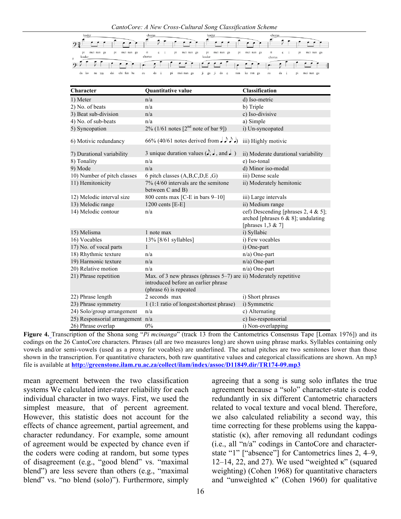

| Character                        | Quantitative value                                                                                                                 | <b>Classification</b>                                                                                 |
|----------------------------------|------------------------------------------------------------------------------------------------------------------------------------|-------------------------------------------------------------------------------------------------------|
| 1) Meter                         | n/a                                                                                                                                | d) Iso-metric                                                                                         |
| 2) No. of beats                  | n/a                                                                                                                                | b) Triple                                                                                             |
| 3) Beat sub-division             | n/a                                                                                                                                | c) Iso-divisive                                                                                       |
| 4) No. of sub-beats              | n/a                                                                                                                                | a) Simple                                                                                             |
| 5) Syncopation                   | 2% (1/61 notes $[2^{nd}$ note of bar 9])                                                                                           | i) Un-syncopated                                                                                      |
| 6) Motivic redundancy            | 66% (40/61 notes derived from $J \sim$ )                                                                                           | iii) Highly motivic                                                                                   |
| 7) Durational variability        | 3 unique duration values $(\rightarrow, \rightarrow, \text{ and } \rightarrow)$                                                    | ii) Moderate durational variability                                                                   |
| 8) Tonality                      | n/a                                                                                                                                | e) Iso-tonal                                                                                          |
| 9) Mode                          | n/a                                                                                                                                | d) Minor iso-modal                                                                                    |
| 10) Number of pitch classes      | 6 pitch classes (A,B,C,D,E,G)                                                                                                      | iii) Dense scale                                                                                      |
| 11) Hemitonicity                 | $7\%$ (4/60 intervals are the semitone<br>between C and B)                                                                         | ii) Moderately hemitonic                                                                              |
| 12) Melodic interval size        | 800 cents max [C-E in bars $9-10$ ]                                                                                                | iii) Large intervals                                                                                  |
| 13) Melodic range                | 1200 cents $[E-E]$                                                                                                                 | ii) Medium range                                                                                      |
| 14) Melodic contour              | n/a                                                                                                                                | cef) Descending [phrases 2, 4 & 5];<br>arched [phrases $6 & 8$ ]; undulating<br>[phrases $1,3 \& 7$ ] |
| 15) Melisma                      | 1 note max                                                                                                                         | i) Syllabic                                                                                           |
| 16) Vocables                     | 13% [8/61 syllables]                                                                                                               | i) Few vocables                                                                                       |
| 17) No. of vocal parts           | 1                                                                                                                                  | i) One-part                                                                                           |
| 18) Rhythmic texture             | n/a                                                                                                                                | n/a) One-part                                                                                         |
| 19) Harmonic texture             | n/a                                                                                                                                | n/a) One-part                                                                                         |
| 20) Relative motion              | n/a                                                                                                                                | $n/a$ ) One-part                                                                                      |
| 21) Phrase repetition            | Max. of 3 new phrases (phrases 5–7) are ii) Moderately repetitive<br>introduced before an earlier phrase<br>(phrase 6) is repeated |                                                                                                       |
| 22) Phrase length                | 2 seconds max                                                                                                                      | i) Short phrases                                                                                      |
| 23) Phrase symmetry              | 1 (1:1 ratio of longest: shortest phrase)                                                                                          | i) Symmetric                                                                                          |
| 24) Solo/group arrangement       | n/a                                                                                                                                | c) Alternating                                                                                        |
| 25) Responsorial arrangement n/a |                                                                                                                                    | c) Iso-responsorial                                                                                   |
| 26) Phrase overlap               | $0\%$                                                                                                                              | i) Non-overlapping                                                                                    |

**Figure 4.** Transcription of the Shona song "*Pi mcinanga*" (track 13 from the Cantometrics Consensus Tape [Lomax 1976]) and its codings on the 26 CantoCore characters. Phrases (all are two measures long) are shown using phrase marks. Syllables containing only vowels and/or semi-vowels (used as a proxy for vocables) are underlined. The actual pitches are two semitones lower than those shown in the transcription. For quantitative characters, both raw quantitative values and categorical classifications are shown. An mp3 file is available at **http://greenstone.ilam.ru.ac.za/collect/ilam/index/assoc/D11849.dir/TR174-09.mp3**

mean agreement between the two classification systems We calculated inter-rater reliability for each individual character in two ways. First, we used the simplest measure, that of percent agreement. However, this statistic does not account for the effects of chance agreement, partial agreement, and character redundancy. For example, some amount of agreement would be expected by chance even if the coders were coding at random, but some types of disagreement (e.g., "good blend" vs. "maximal blend") are less severe than others (e.g., "maximal blend" vs. "no blend (solo)"). Furthermore, simply

agreeing that a song is sung solo inflates the true agreement because a "solo" character-state is coded redundantly in six different Cantometric characters related to vocal texture and vocal blend. Therefore, we also calculated reliability a second way, this time correcting for these problems using the kappastatistic  $(\kappa)$ , after removing all redundant codings (i.e., all "n/a" codings in CantoCore and characterstate "1" ["absence"] for Cantometrics lines 2, 4–9, 12–14, 22, and 27). We used "weighted  $\kappa$ " (squared weighting) (Cohen 1968) for quantitative characters and "unweighted  $\kappa$ " (Cohen 1960) for qualitative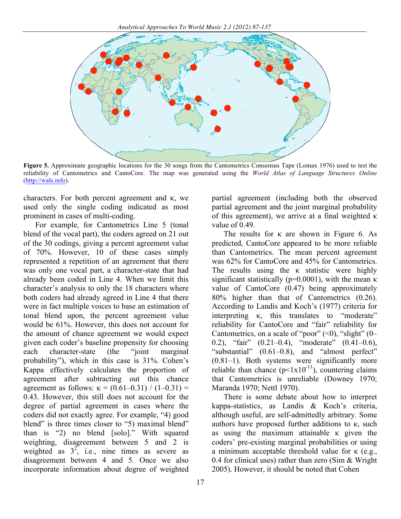

**Figure 5.** Approximate geographic locations for the 30 songs from the Cantometrics Consensus Tape (Lomax 1976) used to test the reliability of Cantometrics and CantoCore. The map was generated using the *World Atlas of Language Structures Online* (http://wals.info).

characters. For both percent agreement and κ, we used only the single coding indicated as most prominent in cases of multi-coding.

For example, for Cantometrics Line 5 (tonal blend of the vocal part), the coders agreed on 21 out of the 30 codings, giving a percent agreement value of 70%. However, 10 of these cases simply represented a repetition of an agreement that there was only one vocal part, a character-state that had already been coded in Line 4. When we limit this character's analysis to only the 18 characters where both coders had already agreed in Line 4 that there were in fact multiple voices to base an estimation of tonal blend upon, the percent agreement value would be 61%. However, this does not account for the amount of chance agreement we would expect given each coder's baseline propensity for choosing each character-state (the "joint marginal probability"), which in this case is 31%. Cohen's Kappa effectively calculates the proportion of agreement after subtracting out this chance agreement as follows:  $κ = (0.61 - 0.31) / (1 - 0.31) =$ 0.43. However, this still does not account for the degree of partial agreement in cases where the coders did not exactly agree. For example, "4) good blend" is three times closer to "5) maximal blend" than is "2) no blend [solo]." With squared weighting, disagreement between 5 and 2 is weighted as  $3^2$ , i.e., nine times as severe as disagreement between 4 and 5. Once we also incorporate information about degree of weighted

partial agreement (including both the observed partial agreement and the joint marginal probability of this agreement), we arrive at a final weighted κ value of 0.49.

The results for κ are shown in Figure 6. As predicted, CantoCore appeared to be more reliable than Cantometrics. The mean percent agreement was 62% for CantoCore and 45% for Cantometrics. The results using the  $\kappa$  statistic were highly significant statistically ( $p=0.0001$ ), with the mean  $\kappa$ value of CantoCore (0.47) being approximately 80% higher than that of Cantometrics (0.26). According to Landis and Koch's (1977) criteria for interpreting κ, this translates to "moderate" reliability for CantoCore and "fair" reliability for Cantometrics, on a scale of "poor"  $(<0)$ , "slight"  $(0-$ 0.2), "fair" (0.21–0.4), "moderate" (0.41–0.6), "substantial" (0.61–0.8), and "almost perfect" (0.81–1). Both systems were significantly more reliable than chance  $(p<1x10^{-11})$ , countering claims that Cantometrics is unreliable (Downey 1970; Maranda 1970; Nettl 1970).

There is some debate about how to interpret kappa-statistics, as Landis & Koch's criteria, although useful, are self-admittedly arbitrary. Some authors have proposed further additions to  $\kappa$ , such as using the maximum attainable κ given the coders' pre-existing marginal probabilities or using a minimum acceptable threshold value for κ (e.g., 0.4 for clinical uses) rather than zero (Sim & Wright 2005). However, it should be noted that Cohen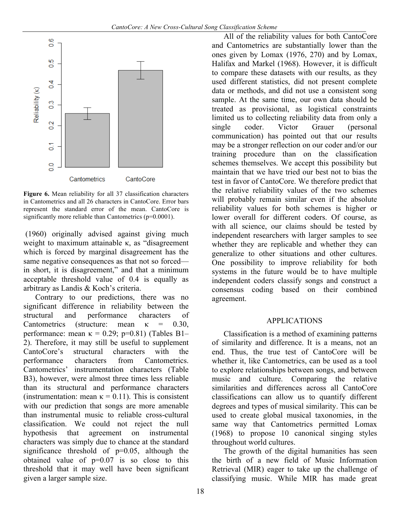

**Figure 6.** Mean reliability for all 37 classification characters in Cantometrics and all 26 characters in CantoCore. Error bars represent the standard error of the mean. CantoCore is significantly more reliable than Cantometrics (p=0.0001).

(1960) originally advised against giving much weight to maximum attainable κ, as "disagreement which is forced by marginal disagreement has the same negative consequences as that not so forced in short, it is disagreement," and that a minimum acceptable threshold value of 0.4 is equally as arbitrary as Landis & Koch's criteria.

Contrary to our predictions, there was no significant difference in reliability between the structural and performance characters of Cantometrics (structure: mean  $\kappa$  = 0.30, performance: mean  $\kappa = 0.29$ ; p=0.81) (Tables B1– 2). Therefore, it may still be useful to supplement CantoCore's structural characters with the performance characters from Cantometrics. Cantometrics' instrumentation characters (Table B3), however, were almost three times less reliable than its structural and performance characters (instrumentation: mean  $\kappa = 0.11$ ). This is consistent with our prediction that songs are more amenable than instrumental music to reliable cross-cultural classification. We could not reject the null hypothesis that agreement on instrumental characters was simply due to chance at the standard significance threshold of  $p=0.05$ , although the obtained value of  $p=0.07$  is so close to this threshold that it may well have been significant given a larger sample size.

All of the reliability values for both CantoCore and Cantometrics are substantially lower than the ones given by Lomax (1976, 270) and by Lomax, Halifax and Markel (1968). However, it is difficult to compare these datasets with our results, as they used different statistics, did not present complete data or methods, and did not use a consistent song sample. At the same time, our own data should be treated as provisional, as logistical constraints limited us to collecting reliability data from only a single coder. Victor Grauer (personal communication) has pointed out that our results may be a stronger reflection on our coder and/or our training procedure than on the classification schemes themselves. We accept this possibility but maintain that we have tried our best not to bias the test in favor of CantoCore. We therefore predict that the relative reliability values of the two schemes will probably remain similar even if the absolute reliability values for both schemes is higher or lower overall for different coders. Of course, as with all science, our claims should be tested by independent researchers with larger samples to see whether they are replicable and whether they can generalize to other situations and other cultures. One possibility to improve reliability for both systems in the future would be to have multiple independent coders classify songs and construct a consensus coding based on their combined agreement.

### APPLICATIONS

Classification is a method of examining patterns of similarity and difference. It is a means, not an end. Thus, the true test of CantoCore will be whether it, like Cantometrics, can be used as a tool to explore relationships between songs, and between music and culture. Comparing the relative similarities and differences across all CantoCore classifications can allow us to quantify different degrees and types of musical similarity. This can be used to create global musical taxonomies, in the same way that Cantometrics permitted Lomax (1968) to propose 10 canonical singing styles throughout world cultures.

The growth of the digital humanities has seen the birth of a new field of Music Information Retrieval (MIR) eager to take up the challenge of classifying music. While MIR has made great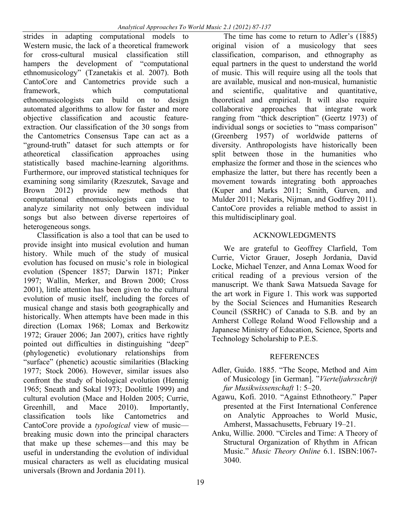strides in adapting computational models to Western music, the lack of a theoretical framework for cross-cultural musical classification still hampers the development of "computational ethnomusicology" (Tzanetakis et al. 2007). Both CantoCore and Cantometrics provide such a framework, which computational ethnomusicologists can build on to design automated algorithms to allow for faster and more objective classification and acoustic featureextraction. Our classification of the 30 songs from the Cantometrics Consensus Tape can act as a "ground-truth" dataset for such attempts or for atheoretical classification approaches using statistically based machine-learning algorithms. Furthermore, our improved statistical techniques for examining song similarity (Rzeszutek, Savage and Brown 2012) provide new methods that computational ethnomusicologists can use to analyze similarity not only between individual songs but also between diverse repertoires of heterogeneous songs.

Classification is also a tool that can be used to provide insight into musical evolution and human history. While much of the study of musical evolution has focused on music's role in biological evolution (Spencer 1857; Darwin 1871; Pinker 1997; Wallin, Merker, and Brown 2000; Cross 2001), little attention has been given to the cultural evolution of music itself, including the forces of musical change and stasis both geographically and historically. When attempts have been made in this direction (Lomax 1968; Lomax and Berkowitz 1972; Grauer 2006; Jan 2007), critics have rightly pointed out difficulties in distinguishing "deep" (phylogenetic) evolutionary relationships from "surface" (phenetic) acoustic similarities (Blacking 1977; Stock 2006). However, similar issues also confront the study of biological evolution (Hennig 1965; Sneath and Sokal 1973; Doolittle 1999) and cultural evolution (Mace and Holden 2005; Currie, Greenhill, and Mace 2010). Importantly, classification tools like Cantometrics and CantoCore provide a *typological* view of music breaking music down into the principal characters that make up these schemes—and this may be useful in understanding the evolution of individual musical characters as well as elucidating musical universals (Brown and Jordania 2011).

The time has come to return to Adler's (1885) original vision of a musicology that sees classification, comparison, and ethnography as equal partners in the quest to understand the world of music. This will require using all the tools that are available, musical and non-musical, humanistic and scientific, qualitative and quantitative, theoretical and empirical. It will also require collaborative approaches that integrate work ranging from "thick description" (Geertz 1973) of individual songs or societies to "mass comparison" (Greenberg 1957) of worldwide patterns of diversity. Anthropologists have historically been split between those in the humanities who emphasize the former and those in the sciences who emphasize the latter, but there has recently been a movement towards integrating both approaches (Kuper and Marks 2011; Smith, Gurven, and Mulder 2011; Nekaris, Nijman, and Godfrey 2011). CantoCore provides a reliable method to assist in this multidisciplinary goal.

### ACKNOWLEDGMENTS

We are grateful to Geoffrey Clarfield, Tom Currie, Victor Grauer, Joseph Jordania, David Locke, Michael Tenzer, and Anna Lomax Wood for critical reading of a previous version of the manuscript. We thank Sawa Matsueda Savage for the art work in Figure 1. This work was supported by the Social Sciences and Humanities Research Council (SSRHC) of Canada to S.B. and by an Amherst College Roland Wood Fellowship and a Japanese Ministry of Education, Science, Sports and Technology Scholarship to P.E.S.

## **REFERENCES**

- Adler, Guido. 1885. "The Scope, Method and Aim of Musicology [in German]. "*Vierteljahrsschrift fur Musikwissenschaft* 1: 5–20.
- Agawu, Kofi. 2010. "Against Ethnotheory." Paper presented at the First International Conference on Analytic Approaches to World Music, Amherst, Massachusetts, February 19–21.
- Anku, Willie. 2000. "Circles and Time: A Theory of Structural Organization of Rhythm in African Music." *Music Theory Online* 6.1. ISBN:1067- 3040.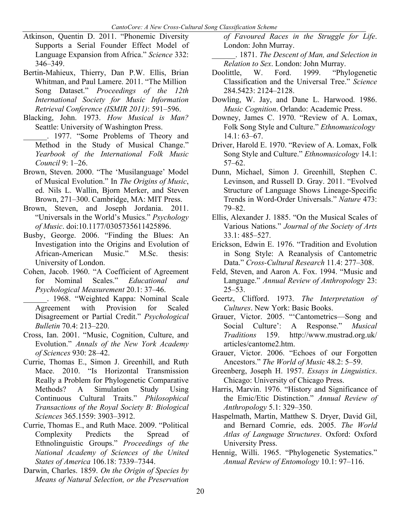- Atkinson, Quentin D. 2011. "Phonemic Diversity Supports a Serial Founder Effect Model of Language Expansion from Africa." *Science* 332: 346–349.
- Bertin-Mahieux, Thierry, Dan P.W. Ellis, Brian Whitman, and Paul Lamere. 2011. "The Million Song Dataset." *Proceedings of the 12th International Society for Music Information Retrieval Conference (ISMIR 2011)*: 591–596.
- Blacking, John. 1973. *How Musical is Man?* Seattle: University of Washington Press.
- \_\_\_\_\_\_. 1977. "Some Problems of Theory and Method in the Study of Musical Change." *Yearbook of the International Folk Music Council* 9: 1–26.
- Brown, Steven. 2000. "The 'Musilanguage' Model of Musical Evolution." In *The Origins of Music*, ed. Nils L. Wallin, Bjorn Merker, and Steven Brown, 271–300. Cambridge, MA: MIT Press.
- Brown, Steven, and Joseph Jordania. 2011. "Universals in the World's Musics." *Psychology of Music*. doi:10.1177/0305735611425896.
- Busby, George. 2006. "Finding the Blues: An Investigation into the Origins and Evolution of African-American Music." M.Sc. thesis: University of London.
- Cohen, Jacob. 1960. "A Coefficient of Agreement for Nominal Scales." *Educational and Psychological Measurement* 20.1: 37–46.
	- \_\_\_\_\_\_. 1968. "Weighted Kappa: Nominal Scale Agreement with Provision for Scaled Disagreement or Partial Credit." *Psychological Bulletin* 70.4: 213–220.
- Cross, Ian. 2001. "Music, Cognition, Culture, and Evolution." *Annals of the New York Academy of Sciences* 930: 28–42.
- Currie, Thomas E., Simon J. Greenhill, and Ruth Mace. 2010. "Is Horizontal Transmission Really a Problem for Phylogenetic Comparative Methods? A Simulation Study Using Continuous Cultural Traits." *Philosophical Transactions of the Royal Society B: Biological Sciences* 365.1559: 3903–3912.
- Currie, Thomas E., and Ruth Mace. 2009. "Political Complexity Predicts the Spread of Ethnolinguistic Groups." *Proceedings of the National Academy of Sciences of the United States of America* 106.18: 7339–7344.
- Darwin, Charles. 1859. *On the Origin of Species by Means of Natural Selection, or the Preservation*

*of Favoured Races in the Struggle for Life*. London: John Murray.

\_\_\_\_\_\_. 1871. *The Descent of Man, and Selection in Relation to Sex*. London: John Murray.

- Doolittle, W. Ford. 1999. "Phylogenetic Classification and the Universal Tree." *Science* 284.5423: 2124–2128.
- Dowling, W. Jay, and Dane L. Harwood. 1986. *Music Cognition*. Orlando: Academic Press.
- Downey, James C. 1970. "Review of A. Lomax, Folk Song Style and Culture." *Ethnomusicology* 14.1: 63–67.
- Driver, Harold E. 1970. "Review of A. Lomax, Folk Song Style and Culture." *Ethnomusicology* 14.1: 57–62.
- Dunn, Michael, Simon J. Greenhill, Stephen C. Levinson, and Russell D. Gray. 2011. "Evolved Structure of Language Shows Lineage-Specific Trends in Word-Order Universals." *Nature* 473: 79–82.
- Ellis, Alexander J. 1885. "On the Musical Scales of Various Nations." *Journal of the Society of Arts* 33.1: 485–527.
- Erickson, Edwin E. 1976. "Tradition and Evolution in Song Style: A Reanalysis of Cantometric Data." *Cross-Cultural Research* 11.4: 277–308.
- Feld, Steven, and Aaron A. Fox. 1994. "Music and Language." *Annual Review of Anthropology* 23: 25–53.
- Geertz, Clifford. 1973. *The Interpretation of Cultures*. New York: Basic Books.
- Grauer, Victor. 2005. "'Cantometrics—Song and Social Culture': A Response." *Musical Traditions* 159. http://www.mustrad.org.uk/ articles/cantome2.htm.
- Grauer, Victor. 2006. "Echoes of our Forgotten Ancestors." *The World of Music* 48.2: 5–59.
- Greenberg, Joseph H. 1957. *Essays in Linguistics*. Chicago: University of Chicago Press.
- Harris, Marvin. 1976. "History and Significance of the Emic/Etic Distinction." *Annual Review of Anthropology* 5.1: 329–350.
- Haspelmath, Martin, Matthew S. Dryer, David Gil, and Bernard Comrie, eds. 2005. *The World Atlas of Language Structures*. Oxford: Oxford University Press.
- Hennig, Willi. 1965. "Phylogenetic Systematics." *Annual Review of Entomology* 10.1: 97–116.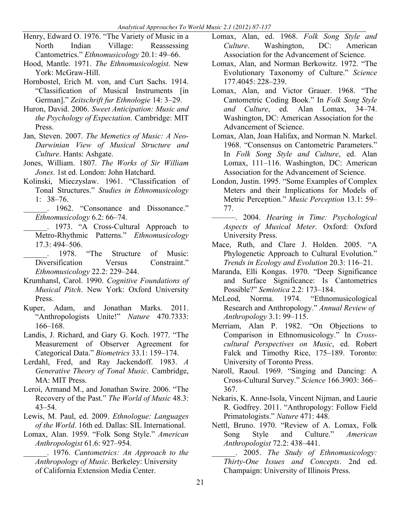- Henry, Edward O. 1976. "The Variety of Music in a North Indian Village: Reassessing Cantometrics." *Ethnomusicology* 20.1: 49–66.
- Hood, Mantle. 1971. *The Ethnomusicologist*. New York: McGraw-Hill.
- Hornbostel, Erich M. von, and Curt Sachs. 1914. "Classification of Musical Instruments [in German]." *Zeitschrift fur Ethnologie* 14: 3–29.
- Huron, David. 2006. *Sweet Anticipation: Music and the Psychology of Expectation*. Cambridge: MIT Press.
- Jan, Steven. 2007. *The Memetics of Music: A Neo-Darwinian View of Musical Structure and Culture*. Hants: Ashgate.
- Jones, William. 1807. *The Works of Sir William Jones*. 1st ed. London: John Hatchard.
- Kolinski, Mieczyslaw. 1961. "Classification of Tonal Structures." *Studies in Ethnomusicology* 1: 38–76.
	- \_\_\_\_\_\_. 1962. "Consonance and Dissonance." *Ethnomusicology* 6.2: 66–74.
- \_\_\_\_\_\_. 1973. "A Cross-Cultural Approach to Metro-Rhythmic Patterns." *Ethnomusicology* 17.3: 494–506.<br>1978. "The
- \_\_\_\_\_\_. 1978. "The Structure of Music: Diversification Versus Constraint." *Ethnomusicology* 22.2: 229–244.
- Krumhansl, Carol. 1990. *Cognitive Foundations of Musical Pitch*. New York: Oxford University Press.
- Kuper, Adam, and Jonathan Marks. 2011. "Anthropologists Unite!" *Nature* 470.7333: 166–168.
- Landis, J. Richard, and Gary G. Koch. 1977. "The Measurement of Observer Agreement for Categorical Data." *Biometrics* 33.1: 159–174.
- Lerdahl, Fred, and Ray Jackendoff. 1983. *A Generative Theory of Tonal Music*. Cambridge, MA: MIT Press.
- Leroi, Armand M., and Jonathan Swire. 2006. "The Recovery of the Past." *The World of Music* 48.3: 43–54.
- Lewis, M. Paul, ed. 2009. *Ethnologue: Languages of the World*. 16th ed. Dallas: SIL International.
- Lomax, Alan. 1959. "Folk Song Style." *American Anthropologist* 61.6: 927–954.

\_\_\_\_\_\_. 1976. *Cantometrics: An Approach to the Anthropology of Music*. Berkeley: University of California Extension Media Center.

- Lomax, Alan, ed. 1968. *Folk Song Style and Culture*. Washington, DC: American Association for the Advancement of Science.
- Lomax, Alan, and Norman Berkowitz. 1972. "The Evolutionary Taxonomy of Culture." *Science* 177.4045: 228–239.
- Lomax, Alan, and Victor Grauer. 1968. "The Cantometric Coding Book." In *Folk Song Style and Culture*, ed. Alan Lomax, 34–74. Washington, DC: American Association for the Advancement of Science.
- Lomax, Alan, Joan Halifax, and Norman N. Markel. 1968. "Consensus on Cantometric Parameters." In *Folk Song Style and Culture*, ed. Alan Lomax, 111–116. Washington, DC: American Association for the Advancement of Science.
- London, Justin. 1995. "Some Examples of Complex Meters and their Implications for Models of Metric Perception." *Music Perception* 13.1: 59– 77.
- ———. 2004. *Hearing in Time: Psychological Aspects of Musical Meter*. Oxford: Oxford University Press.
- Mace, Ruth, and Clare J. Holden. 2005. "A Phylogenetic Approach to Cultural Evolution." *Trends in Ecology and Evolution* 20.3: 116–21.
- Maranda, Elli Kongas. 1970. "Deep Significance and Surface Significance: Is Cantometrics Possible?" *Semiotica* 2.2: 173–184.
- McLeod, Norma. 1974. "Ethnomusicological Research and Anthropology." *Annual Review of Anthropology* 3.1: 99–115.
- Merriam, Alan P. 1982. "On Objections to Comparison in Ethnomusicology." In *Crosscultural Perspectives on Music*, ed. Robert Falck and Timothy Rice, 175–189. Toronto: University of Toronto Press.
- Naroll, Raoul. 1969. "Singing and Dancing: A Cross-Cultural Survey." *Science* 166.3903: 366– 367.
- Nekaris, K. Anne-Isola, Vincent Nijman, and Laurie R. Godfrey. 2011. "Anthropology: Follow Field Primatologists." *Nature* 471: 448.
- Nettl, Bruno. 1970. "Review of A. Lomax, Folk Song Style and Culture." *American Anthropologist* 72.2: 438–441.

\_\_\_\_\_\_. 2005. *The Study of Ethnomusicology: Thirty-One Issues and Concepts*. 2nd ed. Champaign: University of Illinois Press.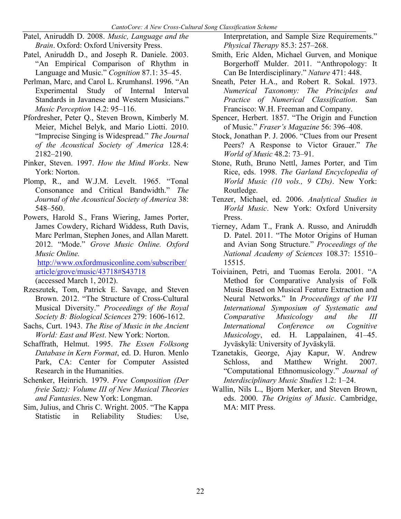- Patel, Aniruddh D. 2008. *Music, Language and the Brain*. Oxford: Oxford University Press.
- Patel, Aniruddh D., and Joseph R. Daniele. 2003. "An Empirical Comparison of Rhythm in Language and Music." *Cognition* 87.1: 35–45.
- Perlman, Marc, and Carol L. Krumhansl. 1996. "An Experimental Study of Internal Interval Standards in Javanese and Western Musicians." *Music Perception* 14.2: 95–116.
- Pfordresher, Peter Q., Steven Brown, Kimberly M. Meier, Michel Belyk, and Mario Liotti. 2010. "Imprecise Singing is Widespread." *The Journal of the Acoustical Society of America* 128.4: 2182–2190.
- Pinker, Steven. 1997. *How the Mind Works*. New York: Norton.
- Plomp, R., and W.J.M. Levelt. 1965. "Tonal Consonance and Critical Bandwidth." *The Journal of the Acoustical Society of America* 38: 548–560.
- Powers, Harold S., Frans Wiering, James Porter, James Cowdery, Richard Widdess, Ruth Davis, Marc Perlman, Stephen Jones, and Allan Marett. 2012. "Mode." *Grove Music Online. Oxford Music Online.*

http://www.oxfordmusiconline.com/subscriber/ article/grove/music/43718#S43718 (accessed March 1, 2012).

- Rzeszutek, Tom, Patrick E. Savage, and Steven Brown. 2012. "The Structure of Cross-Cultural Musical Diversity." *Proceedings of the Royal Society B: Biological Sciences* 279: 1606-1612.
- Sachs, Curt. 1943. *The Rise of Music in the Ancient World: East and West*. New York: Norton.
- Schaffrath, Helmut. 1995. *The Essen Folksong Database in Kern Format*, ed. D. Huron. Menlo Park, CA: Center for Computer Assisted Research in the Humanities.
- Schenker, Heinrich. 1979. *Free Composition (Der freie Satz): Volume III of New Musical Theories and Fantasies*. New York: Longman.
- Sim, Julius, and Chris C. Wright. 2005. "The Kappa Statistic in Reliability Studies: Use,

Interpretation, and Sample Size Requirements." *Physical Therapy* 85.3: 257–268.

- Smith, Eric Alden, Michael Gurven, and Monique Borgerhoff Mulder. 2011. "Anthropology: It Can Be Interdisciplinary." *Nature* 471: 448.
- Sneath, Peter H.A., and Robert R. Sokal. 1973. *Numerical Taxonomy: The Principles and Practice of Numerical Classification*. San Francisco: W.H. Freeman and Company.
- Spencer, Herbert. 1857. "The Origin and Function of Music." *Fraser's Magazine* 56: 396–408.
- Stock, Jonathan P. J. 2006. "Clues from our Present Peers? A Response to Victor Grauer." *The World of Music* 48.2: 73–91.
- Stone, Ruth, Bruno Nettl, James Porter, and Tim Rice, eds. 1998. *The Garland Encyclopedia of World Music (10 vols., 9 CDs)*. New York: Routledge.
- Tenzer, Michael, ed. 2006. *Analytical Studies in World Music*. New York: Oxford University Press.
- Tierney, Adam T., Frank A. Russo, and Aniruddh D. Patel. 2011. "The Motor Origins of Human and Avian Song Structure." *Proceedings of the National Academy of Sciences* 108.37: 15510– 15515.
- Toiviainen, Petri, and Tuomas Eerola. 2001. "A Method for Comparative Analysis of Folk Music Based on Musical Feature Extraction and Neural Networks." In *Proceedings of the VII International Symposium of Systematic and Comparative Musicology and the III International Conference on Cognitive Musicology*, ed. H. Lappalainen, 41–45. Jyväskylä: University of Jyväskylä.
- Tzanetakis, George, Ajay Kapur, W. Andrew Schloss, and Matthew Wright. 2007. "Computational Ethnomusicology." *Journal of Interdisciplinary Music Studies* 1.2: 1–24.
- Wallin, Nils L., Bjorn Merker, and Steven Brown, eds. 2000. *The Origins of Music*. Cambridge, MA: MIT Press.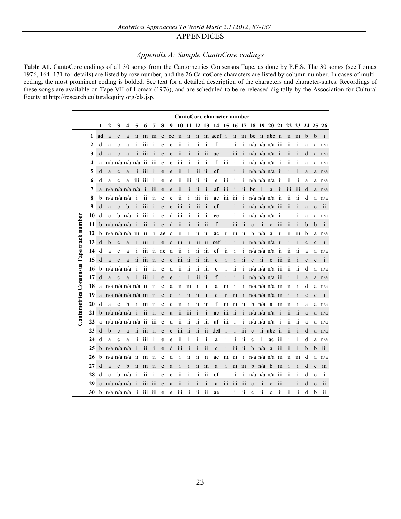#### APPENDICES

#### *Appendix A: Sample CantoCore codings*

**Table A1.** CantoCore codings of all 30 songs from the Cantometrics Consensus Tape, as done by P.E.S. The 30 songs (see Lomax 1976, 164–171 for details) are listed by row number, and the 26 CantoCore characters are listed by column number. In cases of multicoding, the most prominent coding is bolded. See text for a detailed description of the characters and character-states. Recordings of these songs are available on Tape VII of Lomax (1976), and are scheduled to be re-released digitally by the Association for Cultural Equity at http://research.culturalequity.org/cls.jsp.

|                                          |              | CantoCore character number |              |                   |     |                         |                  |                         |             |    |                         |                         |                         |                          |                                                 |                         |                  |                  |              |                         |                   |                         |                          |                         |              |              |                         |
|------------------------------------------|--------------|----------------------------|--------------|-------------------|-----|-------------------------|------------------|-------------------------|-------------|----|-------------------------|-------------------------|-------------------------|--------------------------|-------------------------------------------------|-------------------------|------------------|------------------|--------------|-------------------------|-------------------|-------------------------|--------------------------|-------------------------|--------------|--------------|-------------------------|
|                                          |              | 1                          | 2            | 3                 | 4   | 5                       | 6                | 7                       | 8           | 9  | 10                      |                         |                         |                          | 11 12 13 14 15 16 17 18 19 20 21 22 23 24 25 26 |                         |                  |                  |              |                         |                   |                         |                          |                         |              |              |                         |
|                                          | 1            | ad                         | a            | $\mathbf c$       | a   | $\overline{11}$         | 111              | 111                     | e           | ce | $\overline{11}$         | $\overline{11}$         | $\overline{11}$         |                          | iii acef i                                      |                         | ii               | 111              | bc           |                         | ii abc ii         |                         | $\overline{11}$          | 111                     | b            | b            | $\mathbf{1}$            |
|                                          | $\mathbf{2}$ | d                          | a            | $\mathbf c$       | a   | $\mathbf i$             | 111              | $\overline{11}$         | e           | e  | ii                      | i                       | ii                      | iii                      | f                                               | $\mathbf i$             | ii               | ī                |              |                         | $n/a$ n/a n/a iii |                         | ii                       | $\mathbf{1}$            | a            | a            | n/a                     |
|                                          | 3            | d                          | a            | $\mathbf{c}$      | a   | ii                      | iii              | i                       | e           | e  | $\overline{\mathbf{1}}$ | ii                      | $\overline{\mathbf{1}}$ | ii                       | ac                                              | $\frac{1}{1}$           | iii              | $\mathbf{i}$     |              |                         | $n/a$ n/a n/a ii  |                         | $\overline{11}$          | i                       | d            | a            | n/a                     |
|                                          | 4            | a                          |              | $n/a$ n/a n/a n/a |     |                         | $\overline{11}$  | 111                     | e           | e  | 111                     | $\overline{11}$         | 11                      | 111                      | f                                               | 111                     | $\mathbf i$      | 1                |              |                         | $n/a$ n/a n/a     | $\mathbf{1}$            | 11                       | 1                       | a            | a            | n/a                     |
|                                          | 5            | d                          | a            | $\mathbf{c}$      | a   | ii                      | 111              | $\overline{11}$         | e           | e  | ii                      | i                       | 111                     | iii                      | cf                                              | $\overline{1}$          | 1                | $\mathbf{1}$     |              |                         | $n/a$ n/a n/a     | $\overline{11}$         | $\mathbf{1}$             | $\mathbf{1}$            | a            | a            | n/a                     |
|                                          | 6            | d                          | a            | $\mathbf c$       | a   | iii                     | iii              | $\overline{\mathbf{u}}$ | e           | e  | ii                      | iii                     | ii                      | iii                      | e                                               | iii                     | i                | ī                |              |                         | $n/a$ n/a n/a     | ii                      | ii                       | ii                      | a            | a            | n/a                     |
|                                          | 7            | a                          |              | $n/a$ n/a n/a n/a |     |                         | $\mathbf{i}$     | 111                     | e           | e  | ii                      | $\overline{\mathbf{u}}$ | $\overline{11}$         | $\mathbf{i}$             | af                                              | $\overline{111}$        | $\mathbf{i}$     | ii               | bc           | i                       | a                 | ii                      | 111                      | 111                     | d            | a            | n/a                     |
|                                          | 8            | b                          |              | $n/a$ n/a n/a     |     | i                       | $\overline{11}$  | $\overline{11}$         | e           | e  | ii                      | i                       | 111                     | $\overline{\bf ii}$      | ae                                              | iii                     | 111              | i                |              |                         | $n/a$ n/a n/a     | ii                      | $\overline{\mathbf{u}}$  | $\overline{11}$         | d            | a            | n/a                     |
|                                          | 9            | d                          | a            | $\mathbf{c}$      | b   | i                       | $\overline{111}$ | ii                      | e           | e  | $\overline{111}$        | ii                      | $\overline{111}$        | iii                      | ef                                              | i                       | $\mathbf{i}$     | Ť                |              |                         | $n/a$ n/a n/a iii |                         | $\overline{11}$          | i                       | a            | $\mathbf{c}$ | ii                      |
|                                          | 10           | d                          | $\mathbf c$  | b                 | n/a | $\overline{\mathbf{u}}$ | $\overline{1}11$ | $\overline{11}$         | e           | d  | iii                     | ii                      | ii                      | iii                      | ce                                              | 1                       | i                |                  |              |                         | $n/a$ n/a n/a     | ii                      | $\bf{1}$                 | $\bf i$                 | a            | a            | n/a                     |
| Cantometrics Consensus Tape track number | 11           | b                          |              | $n/a$ n/a n/a     |     |                         | ii               | $\mathbf{i}$            | e           | d  | ii                      | ii                      | ii                      | $\overline{\mathbf{ii}}$ | f                                               | i                       | iii              | ii               | $\mathbf c$  | ii                      | $\mathbf c$       | iii                     | ii                       | İ                       | b            | b            | $\mathbf{i}$            |
|                                          | 12           | b                          |              | $n/a$ n/a n/a     |     | 111                     | 11               | $\mathbf i$             | ae          | d  | ii                      | i                       | 11                      | 111                      | ac                                              | $\overline{11}$         | 111              | $\overline{11}$  | b            | n/a                     | a                 | $\overline{\mathbf{u}}$ | $\overline{11}$          | 111                     | b            | a            | n/a                     |
|                                          | 13           | d                          | $\mathbf b$  | $\mathbf{c}$      | a   |                         | 111              | $\overline{11}$         | e           | d  | iii                     | ii                      | iii                     | ii                       | cef                                             |                         |                  |                  |              |                         | $n/a$ $n/a$ $n/a$ | ii                      |                          |                         | $\mathbf c$  | $\mathbf{c}$ | $\mathbf{i}$            |
|                                          | 14           | d                          | a            | c                 | a   | $\mathbf 1$             | iii              | $\overline{11}$         | ae          | d  | ii                      | i                       | ii                      | iii                      | ef                                              | ii                      | i                | $\mathbf{1}$     |              |                         | $n/a$ $n/a$ $n/a$ | ii                      | $\overline{\mathbf{u}}$  | 11                      | a            | a            | n/a                     |
|                                          | 15           | d                          | a            | $\mathbf{c}$      | a   | ii                      | $\overline{111}$ | ii                      | e           | e  | 111                     | $\overline{\mathbf{u}}$ | $\overline{\mathbf{u}}$ | iii                      | $\mathbf c$                                     | $\mathbf{i}$            | i                | ii               | $\mathbf{c}$ | $\overline{\mathbf{u}}$ | $\mathbf c$       | $\overline{111}$        | ii                       | $\mathbf{i}$            | $\mathbf c$  | $\mathbf{c}$ | $\mathbf{i}$            |
|                                          | 16           | b                          |              | $n/a$ n/a n/a     |     | i                       | ii               | ii                      | e           | d  | ii                      | $\overline{\mathbf{u}}$ | ii                      | iii                      | $\mathbf c$                                     | $\bf{i}$                | ii               | ī                |              |                         | $n/a$ $n/a$ $n/a$ | iii                     | ii                       | $\overline{\mathbf{u}}$ | d            | a            | n/a                     |
|                                          | 17           | d                          | a            | $\mathbf{c}$      | a   |                         | $\overline{111}$ | ii                      | e           | e  | $\mathbf{1}$            | i                       | 111                     | $\overline{111}$         | f                                               | $\overline{1}$          |                  |                  |              |                         | n/a n/a n/a iii   |                         |                          |                         | a            | a            | n/a                     |
|                                          | 18           | a                          |              | $n/a$ n/a n/a n/a |     |                         | $\overline{11}$  | 11                      | e           | a  | 11                      | 111                     | Ť                       | i                        | a                                               | 111                     | $\mathbf{1}$     | $\mathbf{1}$     |              |                         | $n/a$ n/a n/a iii |                         | 11                       | 1                       | d            | a            | n/a                     |
|                                          | 19           | a                          |              | $n/a$ n/a n/a n/a |     |                         | $\overline{111}$ | ii                      | e           | d  | j.                      | ii                      | $\overline{11}$         | j                        | e                                               | $\overline{\mathbf{u}}$ | $\overline{111}$ | i                |              |                         | $n/a$ n/a n/a iii |                         |                          |                         | $\mathbf{c}$ | $\mathbf c$  | $\mathbf{1}$            |
|                                          | 20           | d                          | a            | $\mathbf c$       | b   | İ                       | 111              | 11                      | e           | e  | $\overline{11}$         | İ                       | $\overline{11}$         | 111                      | f                                               | 111                     | 111              | $\overline{11}$  | b            | n/a                     | a                 | 111                     | $\overline{11}$          | $\mathbf{1}$            | a            | a            | n/a                     |
|                                          | 21           | b                          |              | $n/a$ n/a n/a     |     | $\mathbf{i}$            | $\overline{11}$  | $\overline{11}$         | $\mathbf c$ | a  | ii                      | iii                     | $\mathbf i$             | $\mathbf{i}$             | ac                                              | iii                     | $\overline{11}$  | $\mathbf{1}$     |              |                         | $n/a$ $n/a$ $n/a$ | $\mathbf{i}$            | $\overline{11}$          | $\overline{11}$         | a            | a            | n/a                     |
|                                          | 22           | a                          |              | $n/a$ n/a n/a n/a |     |                         | ii               | iii                     | e           | d  | ii                      | ii                      | ii                      | iii                      | af                                              | iii                     | i                | i                |              |                         | $n/a$ n/a n/a     | i                       | 11                       | 11                      | a            | a            | n/a                     |
|                                          | 23           | d                          | b            | $\mathbf{c}$      | a   | 11                      | 111              | $\overline{11}$         | e           | e  | 111                     | $\overline{11}$         | 11                      | $\overline{11}$          | det                                             | $\mathbf{1}$            | $\mathbf{I}$     | 111              | $\mathbf c$  | $\overline{11}$         | $abc$ ii          |                         | $\overline{11}$          | $\mathbf{1}$            | d            | a            | n/a                     |
|                                          | 24           | d                          | a            | c                 | a   | İ1                      | 111              | $\overline{11}$         | e           | e  | ii                      | i                       | $\mathbf i$             | $\mathbf{i}$             | a                                               | $\bf i$                 | 11               | ii               | c            | i                       | ac                | 111                     | $\mathbf i$              | $\mathbf{1}$            | d            | a            | n/a                     |
|                                          | 25           | b                          |              | $n/a$ n/a n/a     |     |                         | ii               | i                       | e           | d  | $\overline{111}$        | $\overline{11}$         | $\mathbf{I}$            | ii                       | $\mathbf c$                                     |                         | iii              | ii               | b            | n/a                     | a                 | $\overline{111}$        | $\overline{\mathbf{u}}$  |                         | b            | b            | iii                     |
|                                          | 26           | b                          |              | $n/a$ n/a n/a     |     | $\overline{\mathbf{u}}$ | 111              | 11                      | e           | d  | $\mathbf{1}$            | 11                      | 11                      | $\overline{11}$          | ac                                              | 111                     | 111              | $\bf{1}$         |              |                         | $n/a$ n/a n/a     | $\overline{111}$        | 11                       | 111                     | d            | a            | n/a                     |
|                                          | 27           | d                          | a            | $\mathbf{c}$      | b   | ii                      | $\overline{111}$ | ii                      | e           | a  | $\mathbf i$             | $\mathbf{i}$            | ii                      | iii                      | a                                               | $\frac{1}{1}$           | iii              | $\overline{111}$ | b            | n/a                     | b                 | iii                     | $\overline{1}$           | İ                       | d            | $\mathbf c$  | iii                     |
|                                          | 28           | d                          | $\mathbf{c}$ | b                 | n/a | i                       | ii               | ii                      | e           | e  | ii                      | i                       | ii                      | ii                       | $_{\rm cf}$                                     | i                       | ii               | i                |              |                         | $n/a$ n/a n/a     | $\overline{111}$        | ii                       | j                       | d            | $\mathbf c$  | $\mathbf{i}$            |
|                                          | 29           | $\ddot{c}$                 |              | $n/a$ n/a n/a     |     |                         | iii              | $\overline{111}$        | e           | a  | $\overline{\mathbf{i}}$ | i                       |                         | $\mathbf{i}$             | a                                               | iii                     | iii              | iii              | $\mathbf{c}$ | ii                      | $\mathbf c$       | iii                     | $\mathbf{i}$             |                         | d            | $\mathbf{c}$ | $\overline{\mathbf{u}}$ |
|                                          | 30           | b                          |              | $n/a$ n/a n/a ii  |     |                         | iii              | iii                     | e           | e  | 111                     | ii                      | ii                      | $\overline{\mathbf{u}}$  | ae                                              | i                       | i                | ii               | $\mathbf c$  | $\mathbf{ii}$           | $\mathbf c$       | ii                      | $\overline{\mathbf{ii}}$ | ii                      | d            | b            | $\rm ii$                |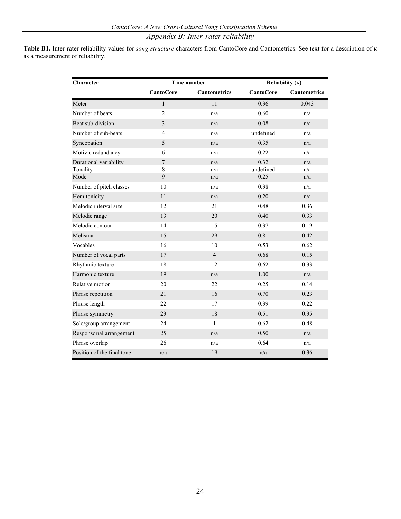# *Appendix B: Inter-rater reliability*

**Table B1.** Inter-rater reliability values for *song-structure* characters from CantoCore and Cantometrics. See text for a description of κ as a measurement of reliability.

| Character                  |                  | Line number         | Reliability $(\kappa)$ |                     |  |  |  |
|----------------------------|------------------|---------------------|------------------------|---------------------|--|--|--|
|                            | <b>CantoCore</b> | <b>Cantometrics</b> | <b>CantoCore</b>       | <b>Cantometrics</b> |  |  |  |
| Meter                      | 1                | 11                  | 0.36                   | 0.043               |  |  |  |
| Number of beats            | $\overline{2}$   | n/a                 | 0.60                   | n/a                 |  |  |  |
| Beat sub-division          | 3                | n/a                 | 0.08                   | n/a                 |  |  |  |
| Number of sub-beats        | 4                | n/a                 | undefined              | n/a                 |  |  |  |
| Syncopation                | 5                | n/a                 | 0.35                   | n/a                 |  |  |  |
| Motivic redundancy         | 6                | n/a                 | 0.22                   | n/a                 |  |  |  |
| Durational variability     | $\overline{7}$   | n/a                 | 0.32                   | n/a                 |  |  |  |
| Tonality                   | 8                | n/a                 | undefined              | n/a                 |  |  |  |
| Mode                       | $\mathbf{Q}$     | n/a                 | 0.25                   | n/a                 |  |  |  |
| Number of pitch classes    | 10               | n/a                 | 0.38                   | n/a                 |  |  |  |
| Hemitonicity               | 11               | n/a                 | 0.20                   | n/a                 |  |  |  |
| Melodic interval size      | 12               | 21                  | 0.48                   | 0.36                |  |  |  |
| Melodic range              | 13               | 20                  | 0.40                   | 0.33                |  |  |  |
| Melodic contour            | 14               | 15                  | 0.37                   | 0.19                |  |  |  |
| Melisma                    | 15               | 29                  | 0.81                   | 0.42                |  |  |  |
| Vocables                   | 16               | 10                  | 0.53                   | 0.62                |  |  |  |
| Number of vocal parts      | 17               | $\overline{4}$      | 0.68                   | 0.15                |  |  |  |
| Rhythmic texture           | 18               | 12                  | 0.62                   | 0.33                |  |  |  |
| Harmonic texture           | 19               | n/a                 | 1.00                   | n/a                 |  |  |  |
| Relative motion            | 20               | 22                  | 0.25                   | 0.14                |  |  |  |
| Phrase repetition          | 21               | 16                  | 0.70                   | 0.23                |  |  |  |
| Phrase length              | 22               | 17                  | 0.39                   | 0.22                |  |  |  |
| Phrase symmetry            | 23               | 18                  | 0.51                   | 0.35                |  |  |  |
| Solo/group arrangement     | 24               | $\mathbf{1}$        | 0.62                   | 0.48                |  |  |  |
| Responsorial arrangement   | 25               | n/a                 | 0.50                   | n/a                 |  |  |  |
| Phrase overlap             | 26               | n/a                 | 0.64                   | n/a                 |  |  |  |
| Position of the final tone | n/a              | 19                  | n/a                    | 0.36                |  |  |  |